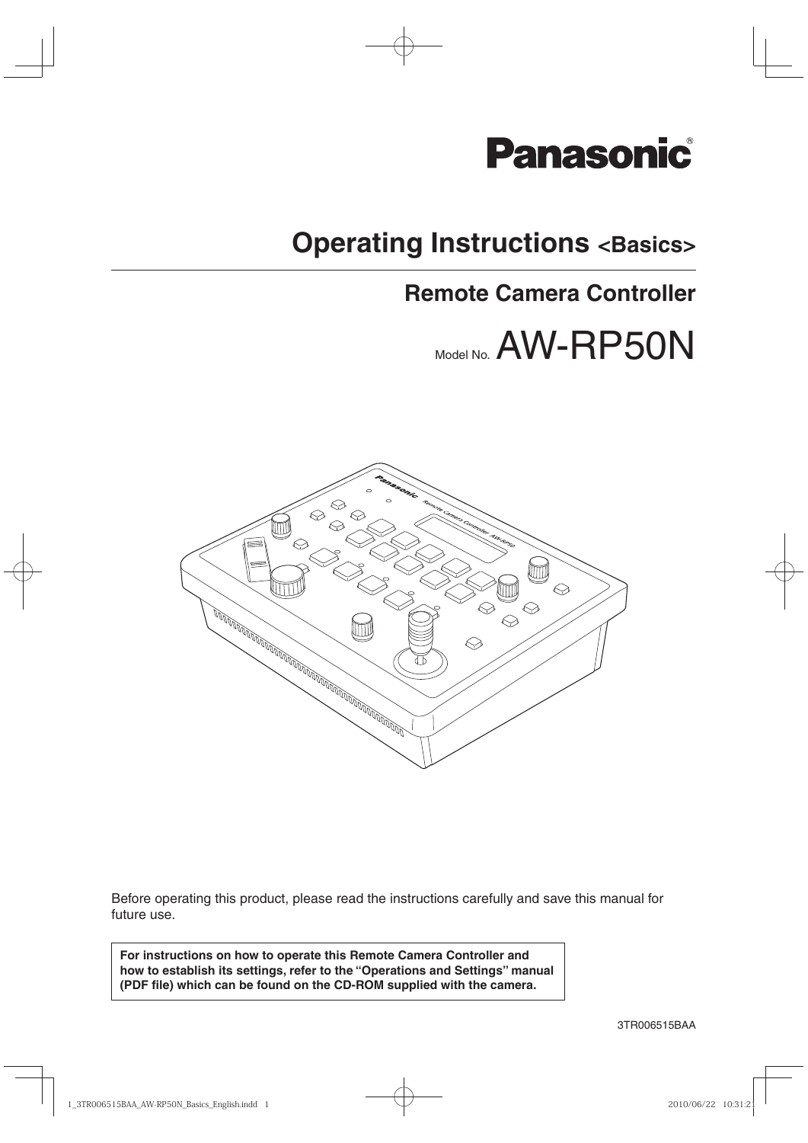

# **Operating Instructions <Basics>**

# **Remote Camera Controller**

# Model No. AW-RP50N



Before operating this product, please read the instructions carefully and save this manual for future use.

**For instructions on how to operate this Remote Camera Controller and how to establish its settings, refer to the "Operations and Settings" manual (PDF file) which can be found on the CD-ROM supplied with the camera.**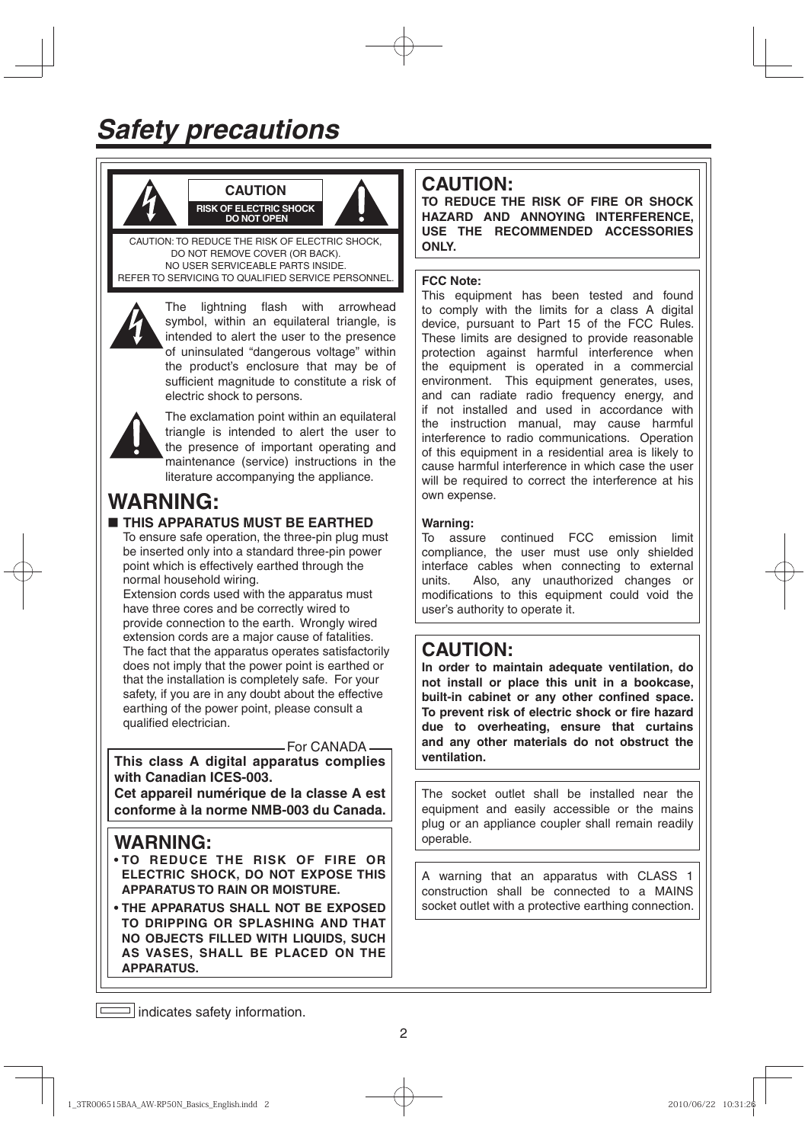



CAUTION: TO REDUCE THE RISK OF ELECTRIC SHOCK, DO NOT REMOVE COVER (OR BACK). NO USER SERVICEABLE PARTS INSIDE. REFER TO SERVICING TO QUALIFIED SERVICE PERSONNEL.

**CAUTION RISK OF ELECTRIC SHOCK DO NOT OPEN**



The lightning flash with arrowhead symbol, within an equilateral triangle, is intended to alert the user to the presence of uninsulated "dangerous voltage" within the product's enclosure that may be of sufficient magnitude to constitute a risk of electric shock to persons.



The exclamation point within an equilateral triangle is intended to alert the user to the presence of important operating and maintenance (service) instructions in the literature accompanying the appliance.

# **WARNING:**

# **THIS APPARATUS MUST BE EARTHED**

To ensure safe operation, the three-pin plug must be inserted only into a standard three-pin power point which is effectively earthed through the normal household wiring.

Extension cords used with the apparatus must have three cores and be correctly wired to provide connection to the earth. Wrongly wired extension cords are a major cause of fatalities. The fact that the apparatus operates satisfactorily does not imply that the power point is earthed or that the installation is completely safe. For your safety, if you are in any doubt about the effective earthing of the power point, please consult a qualified electrician.

- For CANADA-

**This class A digital apparatus complies with Canadian ICES-003.**

**Cet appareil numérique de la classe A est conforme à la norme NMB-003 du Canada.**

# **WARNING:**

- **TO REDUCE THE RISK OF FIRE OR ELECTRIC SHOCK, DO NOT EXPOSE THIS APPARATUS TO RAIN OR MOISTURE.**
- **THE APPARATUS SHALL NOT BE EXPOSED TO DRIPPING OR SPLASHING AND THAT NO OBJECTS FILLED WITH LIQUIDS, SUCH AS VASES, SHALL BE PLACED ON THE APPARATUS.**

# **CAUTION:**

**TO REDUCE THE RISK OF FIRE OR SHOCK HAZARD AND ANNOYING INTERFERENCE, USE THE RECOMMENDED ACCESSORIES ONLY.**

## **FCC Note:**

This equipment has been tested and found to comply with the limits for a class A digital device, pursuant to Part 15 of the FCC Rules. These limits are designed to provide reasonable protection against harmful interference when the equipment is operated in a commercial environment. This equipment generates, uses, and can radiate radio frequency energy, and if not installed and used in accordance with the instruction manual, may cause harmful interference to radio communications. Operation of this equipment in a residential area is likely to cause harmful interference in which case the user will be required to correct the interference at his own expense.

# **Warning:**

To assure continued FCC emission limit compliance, the user must use only shielded interface cables when connecting to external units. Also, any unauthorized changes or modifications to this equipment could void the user's authority to operate it.

# **CAUTION:**

**In order to maintain adequate ventilation, do not install or place this unit in a bookcase, built-in cabinet or any other confined space. To prevent risk of electric shock or fire hazard due to overheating, ensure that curtains and any other materials do not obstruct the ventilation.**

The socket outlet shall be installed near the equipment and easily accessible or the mains plug or an appliance coupler shall remain readily operable.

A warning that an apparatus with CLASS 1 construction shall be connected to a MAINS socket outlet with a protective earthing connection.

 $\boxed{\overline{\phantom{a}}\phantom{a}}$  indicates safety information.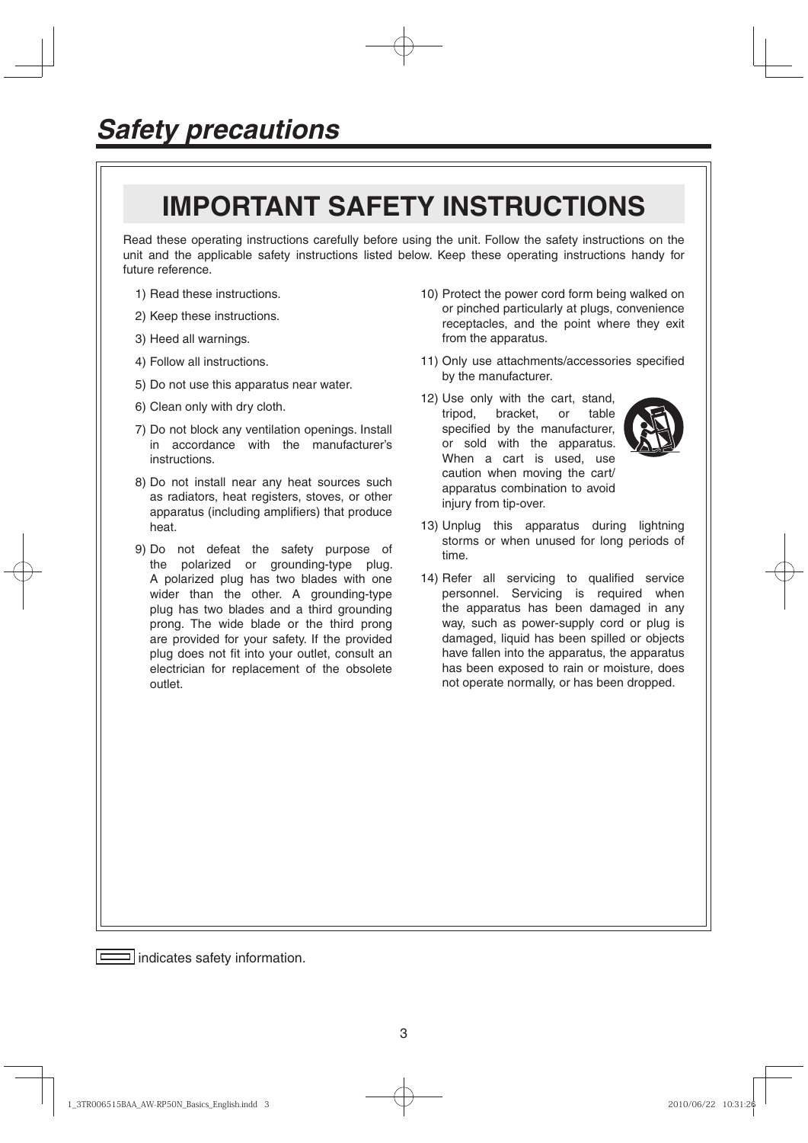# **IMPORTANT SAFETY INSTRUCTIONS**

Read these operating instructions carefully before using the unit. Follow the safety instructions on the unit and the applicable safety instructions listed below. Keep these operating instructions handy for future reference.

- 1) Read these instructions.
- 2) Keep these instructions.
- 3) Heed all warnings.
- 4) Follow all instructions.
- 5) Do not use this apparatus near water.
- 6) Clean only with dry cloth.
- 7) Do not block any ventilation openings. Install in accordance with the manufacturer's instructions.
- 8) Do not install near any heat sources such as radiators, heat registers, stoves, or other apparatus (including amplifiers) that produce heat.
- 9) Do not defeat the safety purpose of the polarized or grounding-type plug. A polarized plug has two blades with one wider than the other. A grounding-type plug has two blades and a third grounding prong. The wide blade or the third prong are provided for your safety. If the provided plug does not fit into your outlet, consult an electrician for replacement of the obsolete outlet.
- 10) Protect the power cord form being walked on or pinched particularly at plugs, convenience receptacles, and the point where they exit from the apparatus.
- 11) Only use attachments/accessories specified by the manufacturer.
- 12) Use only with the cart, stand, tripod, bracket, or table specified by the manufacturer, or sold with the apparatus. When a cart is used, use caution when moving the cart/ apparatus combination to avoid injury from tip-over.



- 13) Unplug this apparatus during lightning storms or when unused for long periods of time.
- 14) Refer all servicing to qualified service personnel. Servicing is required when the apparatus has been damaged in any way, such as power-supply cord or plug is damaged, liquid has been spilled or objects have fallen into the apparatus, the apparatus has been exposed to rain or moisture, does not operate normally, or has been dropped.

indicates safety information.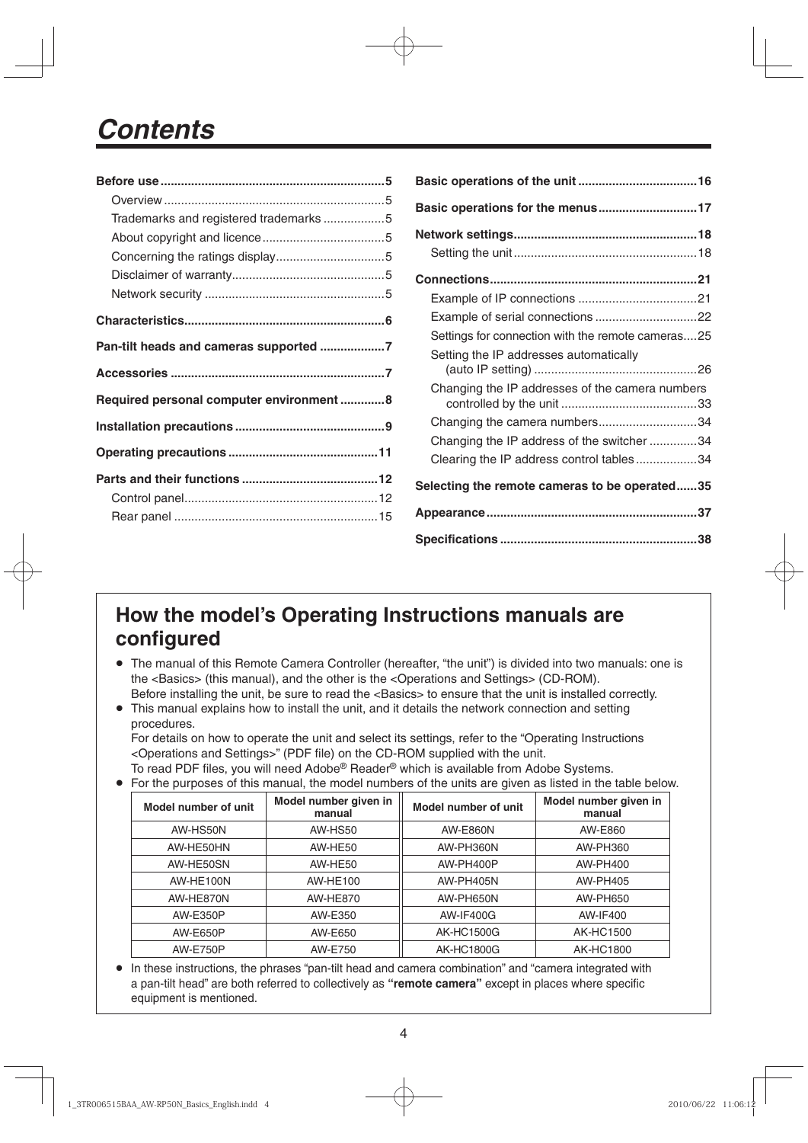# *Contents*

| Trademarks and registered trademarks5    |  |
|------------------------------------------|--|
|                                          |  |
|                                          |  |
|                                          |  |
|                                          |  |
|                                          |  |
| Pan-tilt heads and cameras supported 7   |  |
|                                          |  |
|                                          |  |
| Required personal computer environment 8 |  |
|                                          |  |
|                                          |  |
|                                          |  |
|                                          |  |

| Basic operations for the menus17                  |
|---------------------------------------------------|
|                                                   |
|                                                   |
|                                                   |
|                                                   |
|                                                   |
| Settings for connection with the remote cameras25 |
| Setting the IP addresses automatically            |
| Changing the IP addresses of the camera numbers   |
| Changing the camera numbers34                     |
| Changing the IP address of the switcher 34        |
| Clearing the IP address control tables34          |
| Selecting the remote cameras to be operated35     |
|                                                   |
|                                                   |

# **How the model's Operating Instructions manuals are configured**

- The manual of this Remote Camera Controller (hereafter, "the unit") is divided into two manuals: one is the <Basics> (this manual), and the other is the <Operations and Settings> (CD-ROM). Before installing the unit, be sure to read the <Basics> to ensure that the unit is installed correctly.
- This manual explains how to install the unit, and it details the network connection and setting procedures.

For details on how to operate the unit and select its settings, refer to the "Operating Instructions <Operations and Settings>" (PDF file) on the CD-ROM supplied with the unit.

To read PDF files, you will need Adobe® Reader® which is available from Adobe Systems. For the purposes of this manual, the model numbers of the units are given as listed in the table below.

| Model number of unit<br>manual |                      | Model number given in | Model number of unit | Model number given in<br>manual |  |  |  |  |  |
|--------------------------------|----------------------|-----------------------|----------------------|---------------------------------|--|--|--|--|--|
|                                | AW-HS50N             | AW-HS50               | <b>AW-E860N</b>      | AW-E860                         |  |  |  |  |  |
|                                | AW-HE50HN<br>AW-HE50 |                       | AW-PH360N            | AW-PH360                        |  |  |  |  |  |
| AW-HE50SN<br>AW-HE50           |                      | AW-PH400P             | AW-PH400             |                                 |  |  |  |  |  |
|                                | AW-HE100N            | AW-HE100              | <b>AW-PH405N</b>     | AW-PH405                        |  |  |  |  |  |
|                                | AW-HE870N            | AW-HE870              | AW-PH650N            | AW-PH650                        |  |  |  |  |  |
|                                | AW-E350P             | AW-E350               | <b>AW-IF400G</b>     | AW-IF400                        |  |  |  |  |  |
| AW-E650<br><b>AW-E650P</b>     |                      | <b>AK-HC1500G</b>     | <b>AK-HC1500</b>     |                                 |  |  |  |  |  |
|                                | <b>AW-E750P</b>      | AW-E750               | <b>AK-HC1800G</b>    | <b>AK-HC1800</b>                |  |  |  |  |  |

 In these instructions, the phrases "pan-tilt head and camera combination" and "camera integrated with a pan-tilt head" are both referred to collectively as **"remote camera"** except in places where specific equipment is mentioned.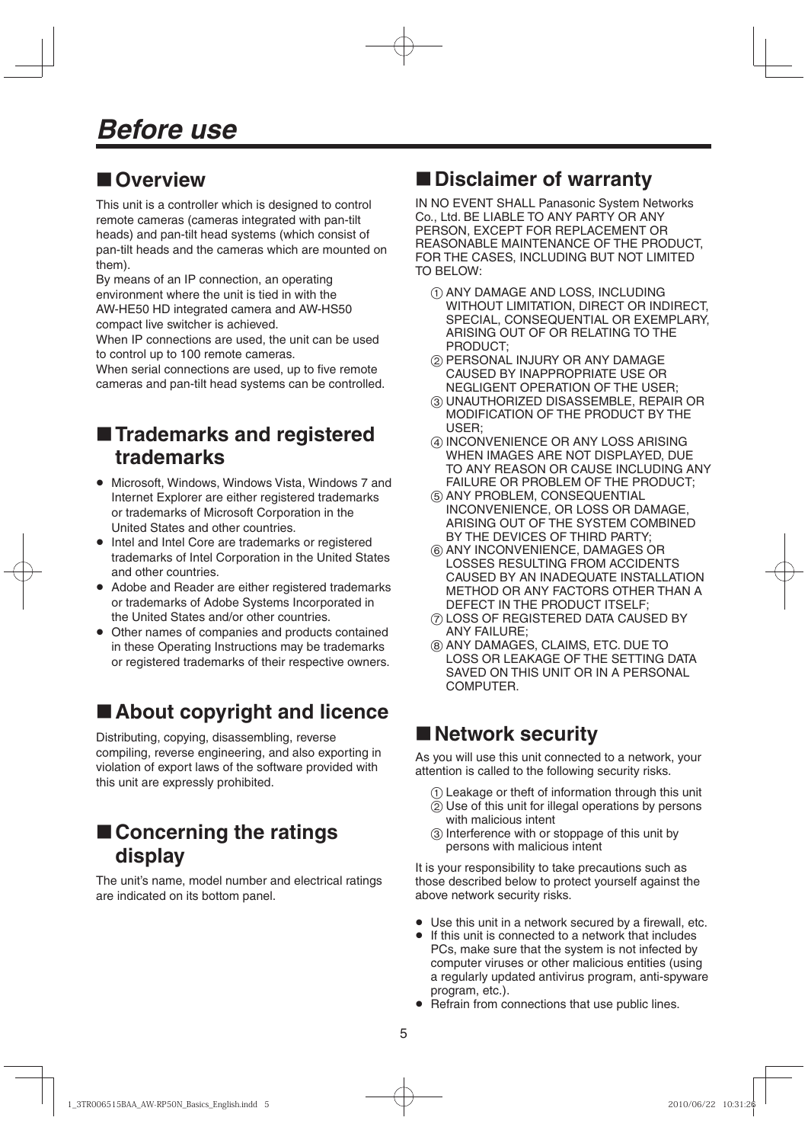# **Overview**

This unit is a controller which is designed to control remote cameras (cameras integrated with pan-tilt heads) and pan-tilt head systems (which consist of pan-tilt heads and the cameras which are mounted on them).

By means of an IP connection, an operating environment where the unit is tied in with the AW-HE50 HD integrated camera and AW-HS50 compact live switcher is achieved.

When IP connections are used, the unit can be used to control up to 100 remote cameras.

When serial connections are used, up to five remote cameras and pan-tilt head systems can be controlled.

# $\blacksquare$  **Trademarks and registered trademarks**

- Microsoft, Windows, Windows Vista, Windows 7 and Internet Explorer are either registered trademarks or trademarks of Microsoft Corporation in the United States and other countries.
- Intel and Intel Core are trademarks or registered trademarks of Intel Corporation in the United States and other countries.
- Adobe and Reader are either registered trademarks or trademarks of Adobe Systems Incorporated in the United States and/or other countries.
- Other names of companies and products contained in these Operating Instructions may be trademarks or registered trademarks of their respective owners.

# ■ About copyright and licence

Distributing, copying, disassembling, reverse compiling, reverse engineering, and also exporting in violation of export laws of the software provided with this unit are expressly prohibited.

# ■ Concerning the ratings **display**

The unit's name, model number and electrical ratings are indicated on its bottom panel.

# **Disclaimer of warranty**

IN NO EVENT SHALL Panasonic System Networks Co., Ltd. BE LIABLE TO ANY PARTY OR ANY PERSON, EXCEPT FOR REPLACEMENT OR REASONABLE MAINTENANCE OF THE PRODUCT, FOR THE CASES, INCLUDING BUT NOT LIMITED TO BELOW:

- $(1)$  ANY DAMAGE AND LOSS, INCLUDING WITHOUT LIMITATION, DIRECT OR INDIRECT, SPECIAL, CONSEQUENTIAL OR EXEMPLARY, ARISING OUT OF OR RELATING TO THE PRODUCT;
- PERSONAL INJURY OR ANY DAMAGE CAUSED BY INAPPROPRIATE USE OR NEGLIGENT OPERATION OF THE USER;
- UNAUTHORIZED DISASSEMBLE, REPAIR OR MODIFICATION OF THE PRODUCT BY THE USER;
- INCONVENIENCE OR ANY LOSS ARISING WHEN IMAGES ARE NOT DISPLAYED, DUE TO ANY REASON OR CAUSE INCLUDING ANY FAILURE OR PROBLEM OF THE PRODUCT;
- **6 ANY PROBLEM, CONSEQUENTIAL** INCONVENIENCE, OR LOSS OR DAMAGE, ARISING OUT OF THE SYSTEM COMBINED BY THE DEVICES OF THIRD PARTY;
- $(6)$  ANY INCONVENIENCE, DAMAGES OR LOSSES RESULTING FROM ACCIDENTS CAUSED BY AN INADEQUATE INSTALLATION METHOD OR ANY FACTORS OTHER THAN A DEFECT IN THE PRODUCT ITSELF;
- LOSS OF REGISTERED DATA CAUSED BY ANY FAILURE;
- ANY DAMAGES, CLAIMS, ETC. DUE TO LOSS OR LEAKAGE OF THE SETTING DATA SAVED ON THIS UNIT OR IN A PERSONAL COMPUTER.

# **Network security**

As you will use this unit connected to a network, your attention is called to the following security risks.

- Leakage or theft of information through this unit
- $\widetilde{p}$  Use of this unit for illegal operations by persons with malicious intent
- Interference with or stoppage of this unit by persons with malicious intent

It is your responsibility to take precautions such as those described below to protect yourself against the above network security risks.

- Use this unit in a network secured by a firewall, etc.
- If this unit is connected to a network that includes PCs, make sure that the system is not infected by computer viruses or other malicious entities (using a regularly updated antivirus program, anti-spyware program, etc.).
- Refrain from connections that use public lines.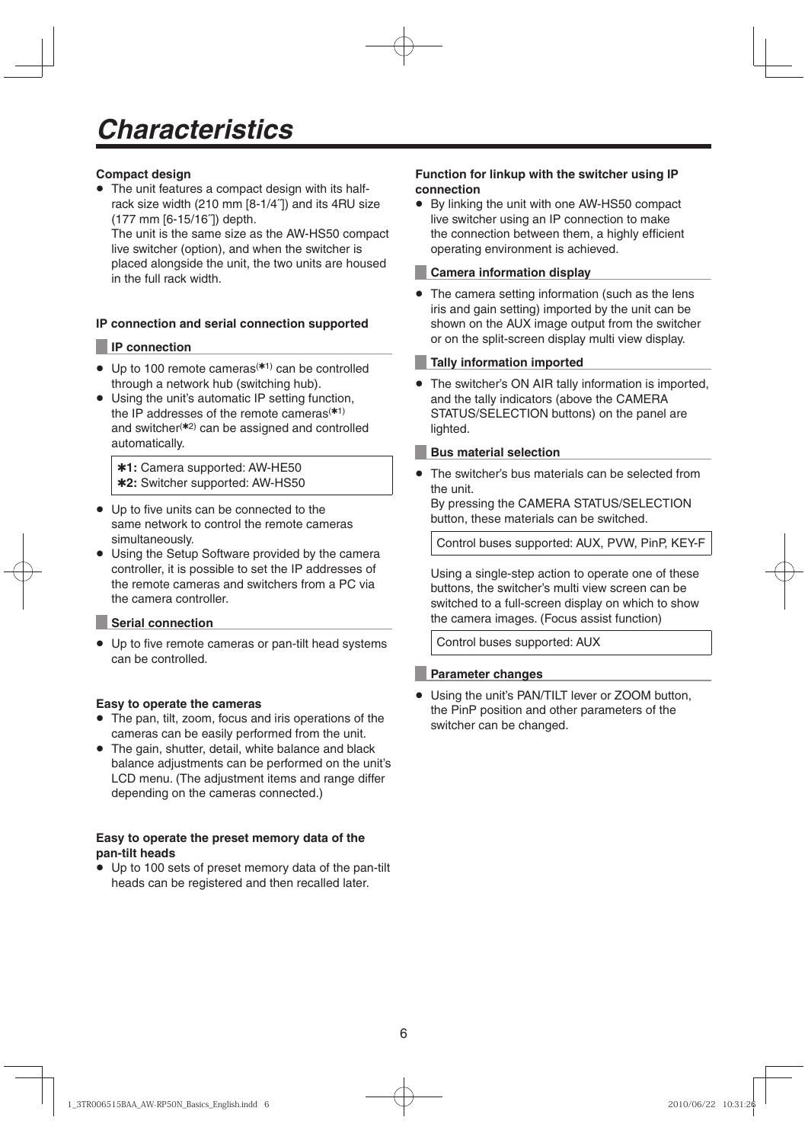## **Compact design**

 The unit features a compact design with its halfrack size width (210 mm [8-1/4˝]) and its 4RU size (177 mm [6-15/16˝]) depth.

The unit is the same size as the AW-HS50 compact live switcher (option), and when the switcher is placed alongside the unit, the two units are housed in the full rack width.

### **IP connection and serial connection supported**

### **IP connection**

- $\bullet$  Up to 100 remote cameras<sup>(\*1)</sup> can be controlled through a network hub (switching hub).
- Using the unit's automatic IP setting function, the IP addresses of the remote cameras $(1)$ and switcher<sup>(\*2)</sup> can be assigned and controlled automatically.

**1:** Camera supported: AW-HE50 **2:** Switcher supported: AW-HS50

- Up to five units can be connected to the same network to control the remote cameras simultaneously.
- Using the Setup Software provided by the camera controller, it is possible to set the IP addresses of the remote cameras and switchers from a PC via the camera controller.

#### **Serial connection**

 Up to five remote cameras or pan-tilt head systems can be controlled.

#### **Easy to operate the cameras**

- The pan, tilt, zoom, focus and iris operations of the cameras can be easily performed from the unit.
- The gain, shutter, detail, white balance and black balance adjustments can be performed on the unit's LCD menu. (The adjustment items and range differ depending on the cameras connected.)

### **Easy to operate the preset memory data of the pan-tilt heads**

 Up to 100 sets of preset memory data of the pan-tilt heads can be registered and then recalled later.

#### **Function for linkup with the switcher using IP connection**

 By linking the unit with one AW-HS50 compact live switcher using an IP connection to make the connection between them, a highly efficient operating environment is achieved.

#### **Camera information display**

• The camera setting information (such as the lens iris and gain setting) imported by the unit can be shown on the AUX image output from the switcher or on the split-screen display multi view display.

### **Tally information imported**

 The switcher's ON AIR tally information is imported, and the tally indicators (above the CAMERA STATUS/SELECTION buttons) on the panel are lighted.

#### **Bus material selection**

 The switcher's bus materials can be selected from the unit.

By pressing the CAMERA STATUS/SELECTION button, these materials can be switched.

Control buses supported: AUX, PVW, PinP, KEY-F

Using a single-step action to operate one of these buttons, the switcher's multi view screen can be switched to a full-screen display on which to show the camera images. (Focus assist function)

Control buses supported: AUX

## **Parameter changes**

 Using the unit's PAN/TILT lever or ZOOM button, the PinP position and other parameters of the switcher can be changed.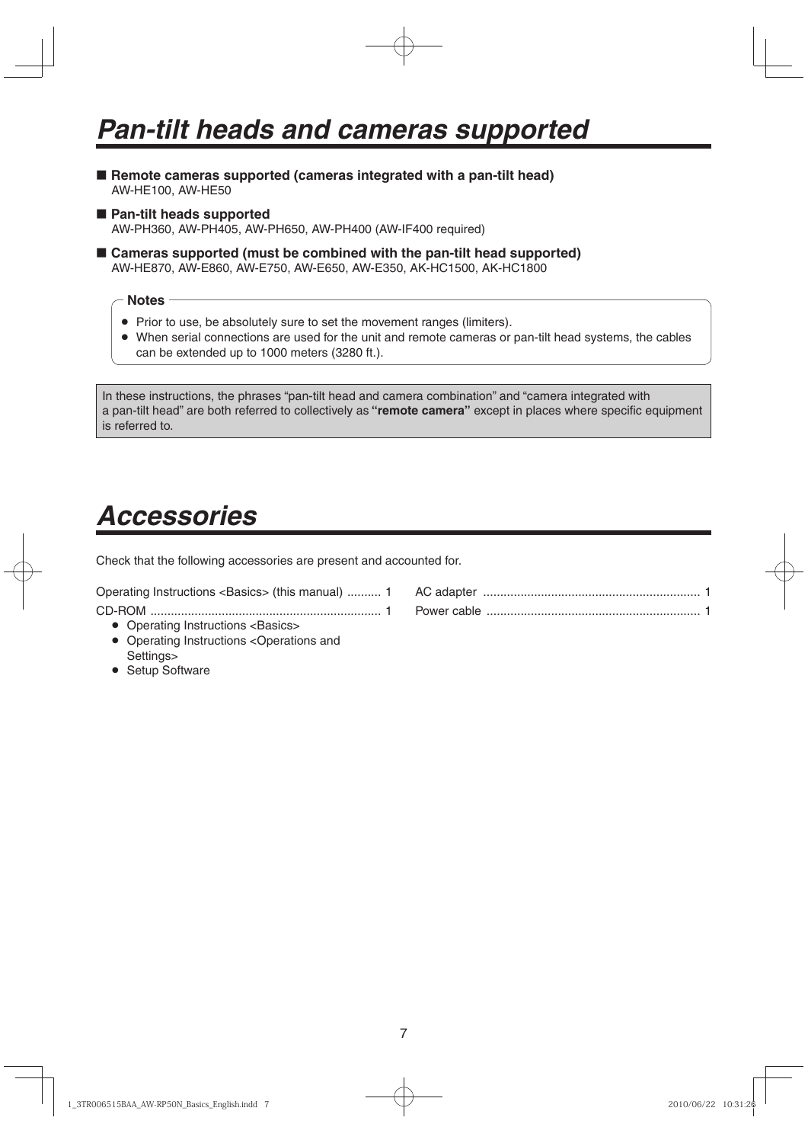- **E** Remote cameras supported (cameras integrated with a pan-tilt head) AW-HE100, AW-HE50
- Pan-tilt heads supported AW-PH360, AW-PH405, AW-PH650, AW-PH400 (AW-IF400 required)
- **Cameras supported (must be combined with the pan-tilt head supported)** AW-HE870, AW-E860, AW-E750, AW-E650, AW-E350, AK-HC1500, AK-HC1800

#### **Notes**

- Prior to use, be absolutely sure to set the movement ranges (limiters).
- When serial connections are used for the unit and remote cameras or pan-tilt head systems, the cables can be extended up to 1000 meters (3280 ft.).

In these instructions, the phrases "pan-tilt head and camera combination" and "camera integrated with a pan-tilt head" are both referred to collectively as **"remote camera"** except in places where specific equipment is referred to.

# *Accessories*

Check that the following accessories are present and accounted for.

Operating Instructions <Basics> (this manual) .......... 1 CD-ROM .................................................................... 1

• Operating Instructions <Basics>

- Operating Instructions <Operations and Settings>
- Setup Software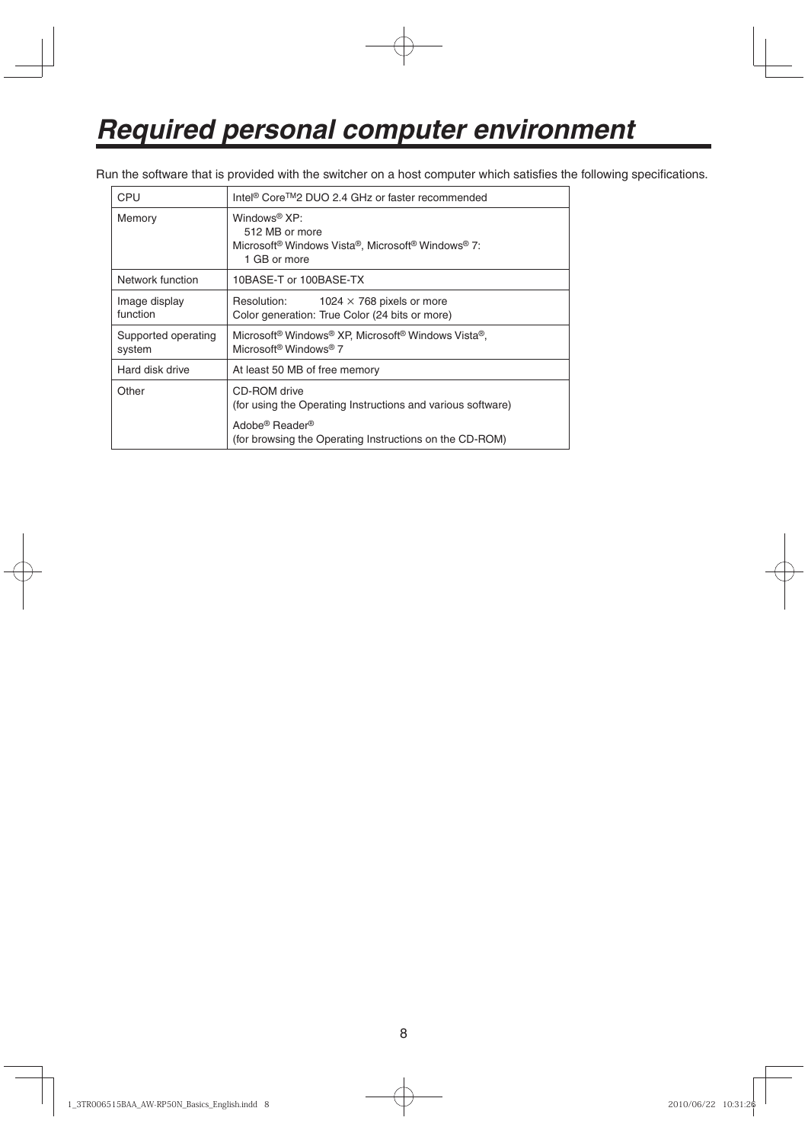# *Required personal computer environment*

Run the software that is provided with the switcher on a host computer which satisfies the following specifications.

| <b>CPU</b>                    | Intel <sup>®</sup> Core <sup>™</sup> 2 DUO 2.4 GHz or faster recommended                                                                                                         |
|-------------------------------|----------------------------------------------------------------------------------------------------------------------------------------------------------------------------------|
| Memory                        | Windows <sup>®</sup> $XP:$<br>512 MB or more<br>Microsoft <sup>®</sup> Windows Vista®, Microsoft <sup>®</sup> Windows <sup>®</sup> 7:<br>1 GB or more                            |
| Network function              | 10BASE-T or 100BASE-TX                                                                                                                                                           |
| Image display<br>function     | Resolution:<br>1024 $\times$ 768 pixels or more<br>Color generation: True Color (24 bits or more)                                                                                |
| Supported operating<br>system | Microsoft <sup>®</sup> Windows <sup>®</sup> XP, Microsoft <sup>®</sup> Windows Vista <sup>®</sup> ,<br>Microsoft <sup>®</sup> Windows <sup>®</sup> 7                             |
| Hard disk drive               | At least 50 MB of free memory                                                                                                                                                    |
| Other                         | CD-ROM drive<br>(for using the Operating Instructions and various software)<br>Adobe <sup>®</sup> Reader <sup>®</sup><br>(for browsing the Operating Instructions on the CD-ROM) |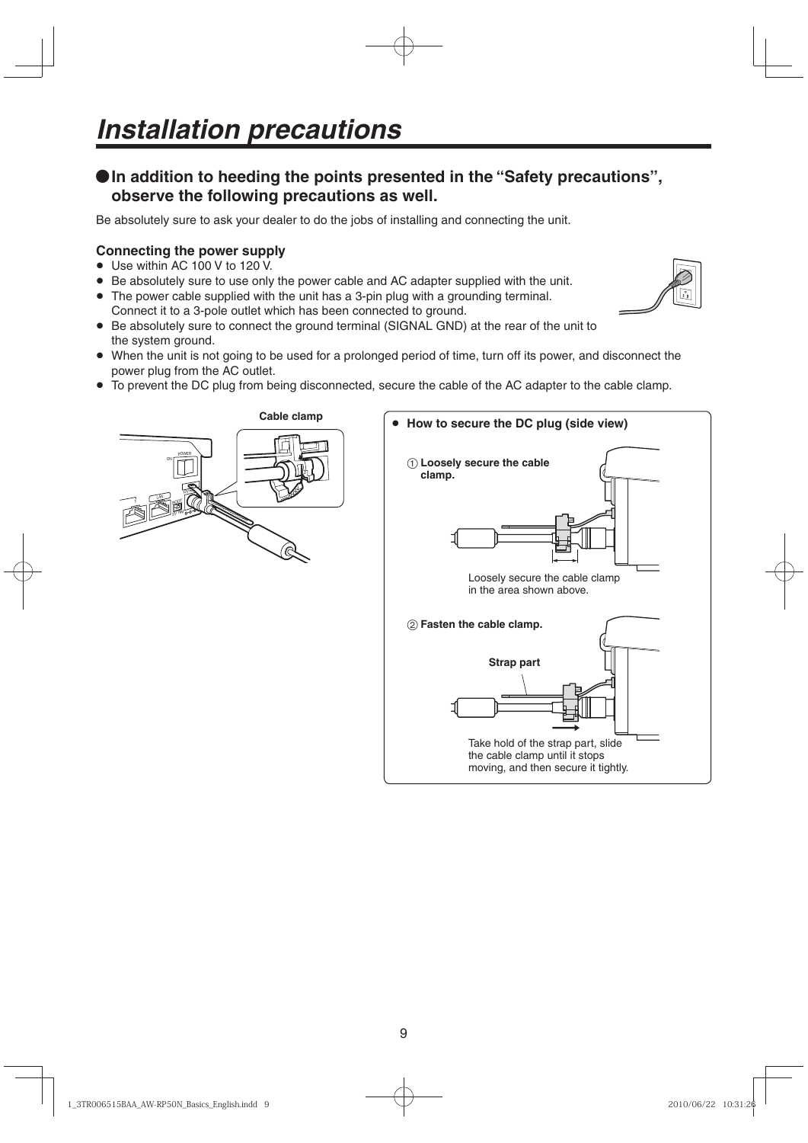# **In addition to heeding the points presented in the "Safety precautions", observe the following precautions as well.**

Be absolutely sure to ask your dealer to do the jobs of installing and connecting the unit.

# **Connecting the power supply**

- Use within AC 100 V to 120 V.
- Be absolutely sure to use only the power cable and AC adapter supplied with the unit.
- The power cable supplied with the unit has a 3-pin plug with a grounding terminal.
- Connect it to a 3-pole outlet which has been connected to ground.
- Be absolutely sure to connect the ground terminal (SIGNAL GND) at the rear of the unit to the system ground.
- When the unit is not going to be used for a prolonged period of time, turn off its power, and disconnect the power plug from the AC outlet.
- To prevent the DC plug from being disconnected, secure the cable of the AC adapter to the cable clamp.

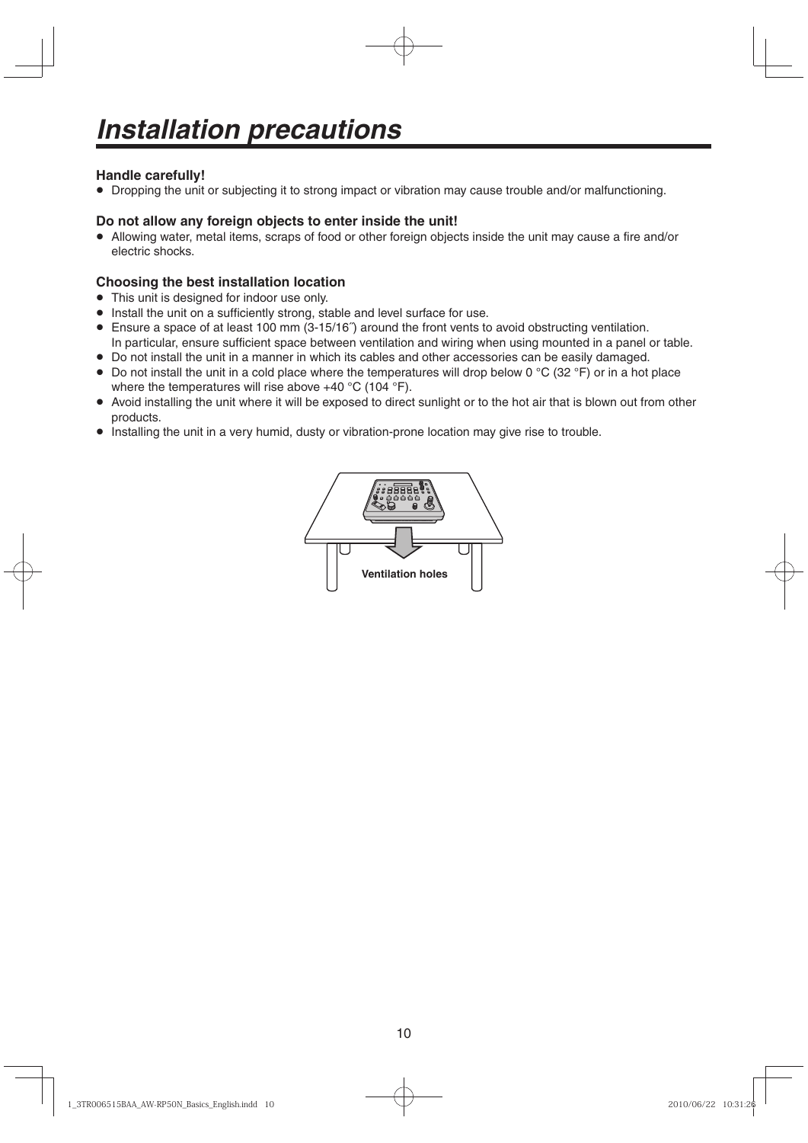## **Handle carefully!**

Dropping the unit or subjecting it to strong impact or vibration may cause trouble and/or malfunctioning.

### **Do not allow any foreign objects to enter inside the unit!**

 Allowing water, metal items, scraps of food or other foreign objects inside the unit may cause a fire and/or electric shocks.

### **Choosing the best installation location**

- This unit is designed for indoor use only.
- Install the unit on a sufficiently strong, stable and level surface for use.
- Ensure a space of at least 100 mm (3-15/16˝) around the front vents to avoid obstructing ventilation. In particular, ensure sufficient space between ventilation and wiring when using mounted in a panel or table.
- Do not install the unit in a manner in which its cables and other accessories can be easily damaged.
- $\bullet$  Do not install the unit in a cold place where the temperatures will drop below 0 °C (32 °F) or in a hot place where the temperatures will rise above  $+40$  °C (104 °F).
- Avoid installing the unit where it will be exposed to direct sunlight or to the hot air that is blown out from other products.
- Installing the unit in a very humid, dusty or vibration-prone location may give rise to trouble.

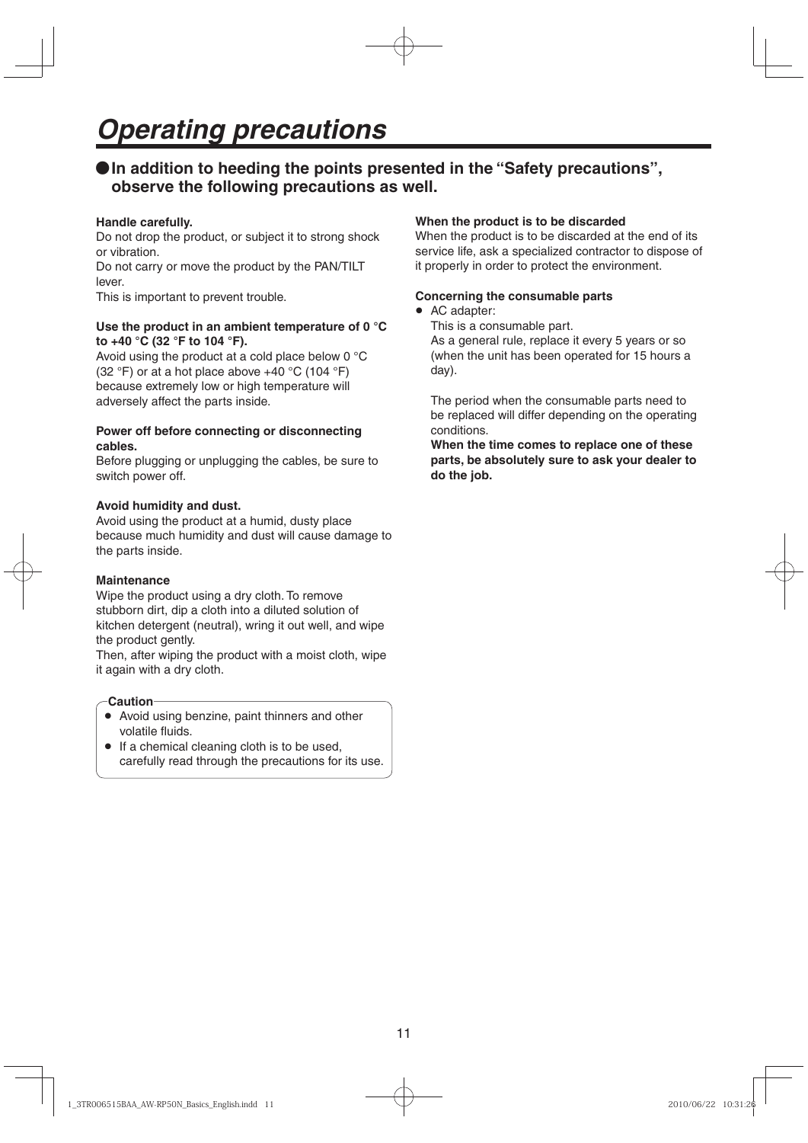# **In addition to heeding the points presented in the "Safety precautions", observe the following precautions as well.**

### **Handle carefully.**

Do not drop the product, or subject it to strong shock or vibration.

Do not carry or move the product by the PAN/TILT lever.

This is important to prevent trouble.

#### **Use the product in an ambient temperature of 0 °C to +40 °C (32 °F to 104 °F).**

Avoid using the product at a cold place below 0 °C (32 °F) or at a hot place above  $+40$  °C (104 °F) because extremely low or high temperature will adversely affect the parts inside.

### **Power off before connecting or disconnecting cables.**

Before plugging or unplugging the cables, be sure to switch power off.

### **Avoid humidity and dust.**

Avoid using the product at a humid, dusty place because much humidity and dust will cause damage to the parts inside.

#### **Maintenance**

Wipe the product using a dry cloth. To remove stubborn dirt, dip a cloth into a diluted solution of kitchen detergent (neutral), wring it out well, and wipe the product gently.

Then, after wiping the product with a moist cloth, wipe it again with a dry cloth.

#### **Caution**

- Avoid using benzine, paint thinners and other volatile fluids.
- If a chemical cleaning cloth is to be used, carefully read through the precautions for its use.

#### **When the product is to be discarded**

When the product is to be discarded at the end of its service life, ask a specialized contractor to dispose of it properly in order to protect the environment.

#### **Concerning the consumable parts**

• AC adapter:

This is a consumable part. As a general rule, replace it every 5 years or so (when the unit has been operated for 15 hours a day).

The period when the consumable parts need to be replaced will differ depending on the operating conditions.

**When the time comes to replace one of these parts, be absolutely sure to ask your dealer to do the job.**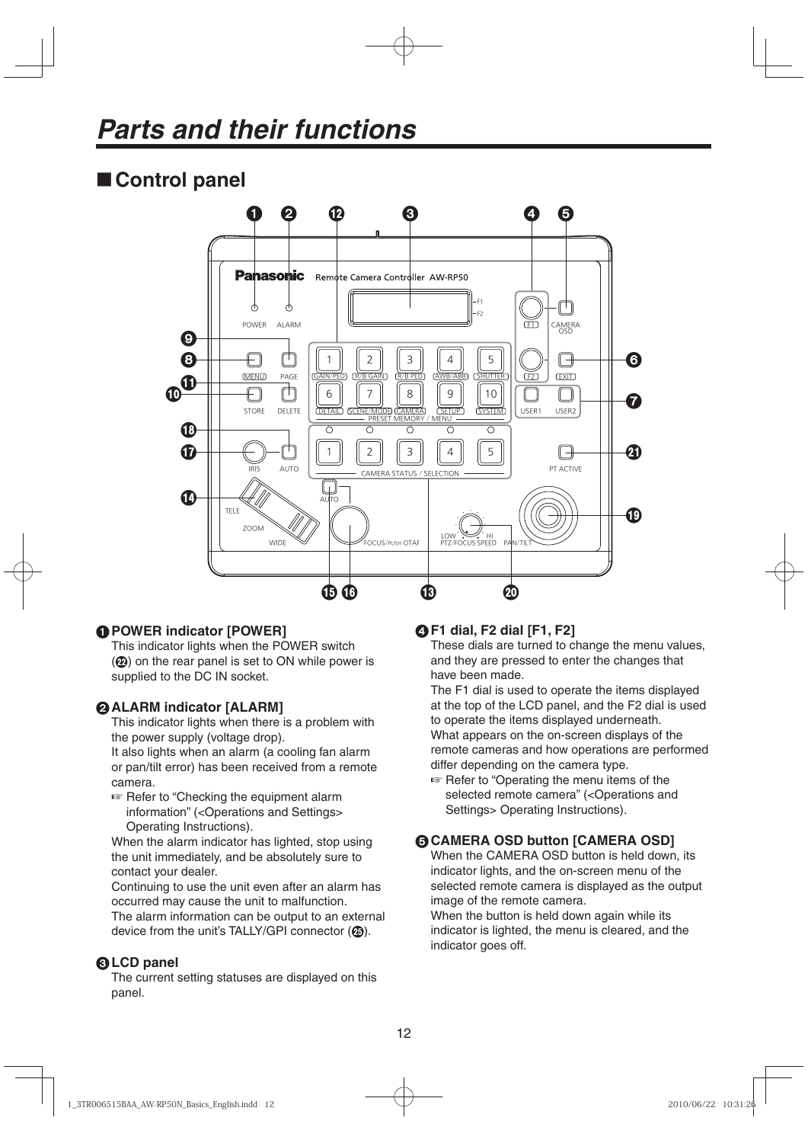# ■ Control panel



# **POWER indicator [POWER]**

This indicator lights when the POWER switch  $(\circled{2})$  on the rear panel is set to ON while power is supplied to the DC IN socket.

# **ALARM indicator [ALARM]**

This indicator lights when there is a problem with the power supply (voltage drop).

It also lights when an alarm (a cooling fan alarm or pan/tilt error) has been received from a remote camera.

 $\sqrt{R}$  Refer to "Checking the equipment alarm information" (<Operations and Settings> Operating Instructions).

When the alarm indicator has lighted, stop using the unit immediately, and be absolutely sure to contact your dealer.

Continuing to use the unit even after an alarm has occurred may cause the unit to malfunction. The alarm information can be output to an external device from the unit's TALLY/GPI connector ( $\circledA$ ).

# **LCD panel**

The current setting statuses are displayed on this panel.

# **F1 dial, F2 dial [F1, F2]**

These dials are turned to change the menu values, and they are pressed to enter the changes that have been made.

The F1 dial is used to operate the items displayed at the top of the LCD panel, and the F2 dial is used to operate the items displayed underneath. What appears on the on-screen displays of the remote cameras and how operations are performed differ depending on the camera type.

■ Refer to "Operating the menu items of the selected remote camera" (<Operations and Settings> Operating Instructions).

# **GCAMERA OSD button [CAMERA OSD]**

When the CAMERA OSD button is held down, its indicator lights, and the on-screen menu of the selected remote camera is displayed as the output image of the remote camera.

When the button is held down again while its indicator is lighted, the menu is cleared, and the indicator goes off.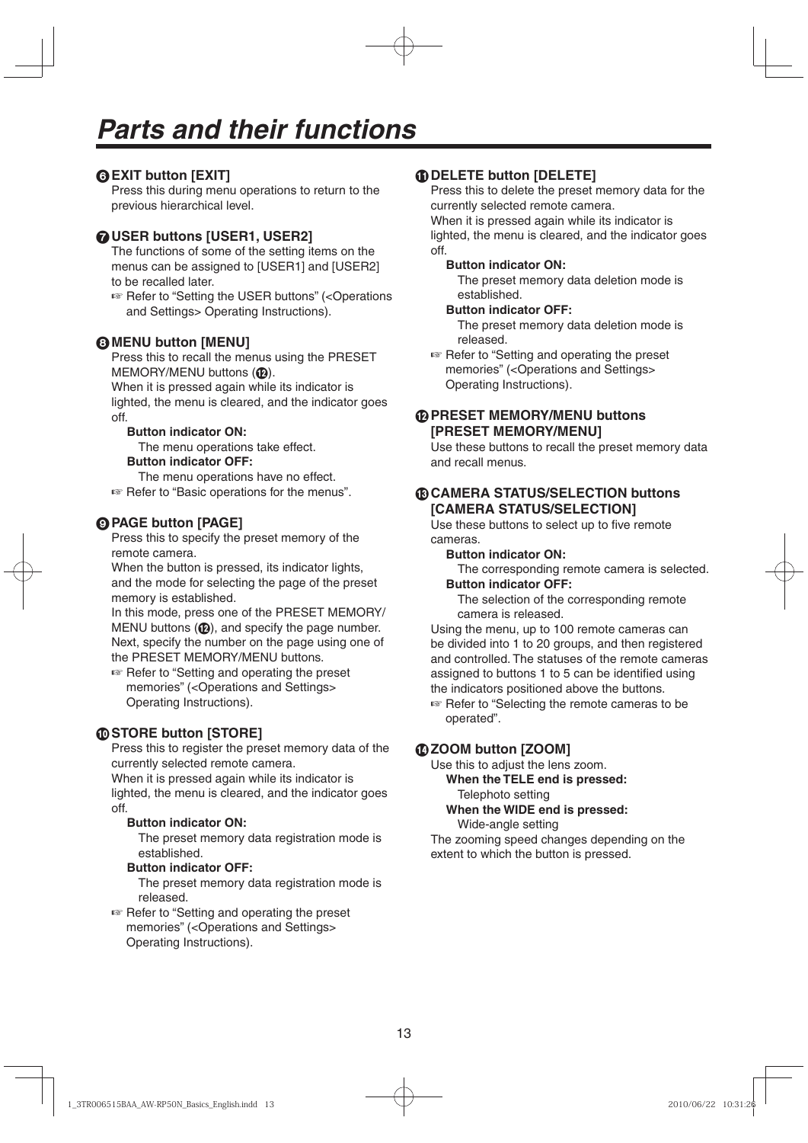# **EXIT button [EXIT]**

Press this during menu operations to return to the previous hierarchical level.

# **USER buttons [USER1, USER2]**

The functions of some of the setting items on the menus can be assigned to [USER1] and [USER2] to be recalled later.

■ Refer to "Setting the USER buttons" (<Operations and Settings> Operating Instructions).

## **MENU button [MENU]**

Press this to recall the menus using the PRESET  $MEMORY/MENU$  buttons  $(Q)$ .

When it is pressed again while its indicator is lighted, the menu is cleared, and the indicator goes off.

### **Button indicator ON:**

The menu operations take effect.

### **Button indicator OFF:**

The menu operations have no effect.

EFFREF Refer to "Basic operations for the menus".

# **PAGE button [PAGE]**

Press this to specify the preset memory of the remote camera.

When the button is pressed, its indicator lights, and the mode for selecting the page of the preset memory is established.

In this mode, press one of the PRESET MEMORY/ MENU buttons  $(\mathbf{p})$ , and specify the page number. Next, specify the number on the page using one of the PRESET MEMORY/MENU buttons.

Refer to "Setting and operating the preset memories" (<Operations and Settings> Operating Instructions).

# **STORE button [STORE]**

Press this to register the preset memory data of the currently selected remote camera.

When it is pressed again while its indicator is lighted, the menu is cleared, and the indicator goes off.

## **Button indicator ON:**

 The preset memory data registration mode is established.

## **Button indicator OFF:**

 The preset memory data registration mode is released.

■ Refer to "Setting and operating the preset memories" (<Operations and Settings> Operating Instructions).

## **DELETE button [DELETE]**

Press this to delete the preset memory data for the currently selected remote camera.

When it is pressed again while its indicator is lighted, the menu is cleared, and the indicator goes off.

#### **Button indicator ON:**

 The preset memory data deletion mode is established.

#### **Button indicator OFF:**

 The preset memory data deletion mode is released.

■ Refer to "Setting and operating the preset memories" (<Operations and Settings> Operating Instructions).

## **PRESET MEMORY/MENU buttons [PRESET MEMORY/MENU]**

Use these buttons to recall the preset memory data and recall menus.

### **CAMERA STATUS/SELECTION buttons [CAMERA STATUS/SELECTION]**

Use these buttons to select up to five remote cameras.

#### **Button indicator ON:**

 The corresponding remote camera is selected.  **Button indicator OFF:** 

 The selection of the corresponding remote camera is released.

Using the menu, up to 100 remote cameras can be divided into 1 to 20 groups, and then registered and controlled. The statuses of the remote cameras assigned to buttons 1 to 5 can be identified using the indicators positioned above the buttons.

**Refer to "Selecting the remote cameras to be** operated".

# **ZOOM button [ZOOM]**

Use this to adjust the lens zoom.

 **When the TELE end is pressed:** Telephoto setting

 **When the WIDE end is pressed:** Wide-angle setting

The zooming speed changes depending on the extent to which the button is pressed.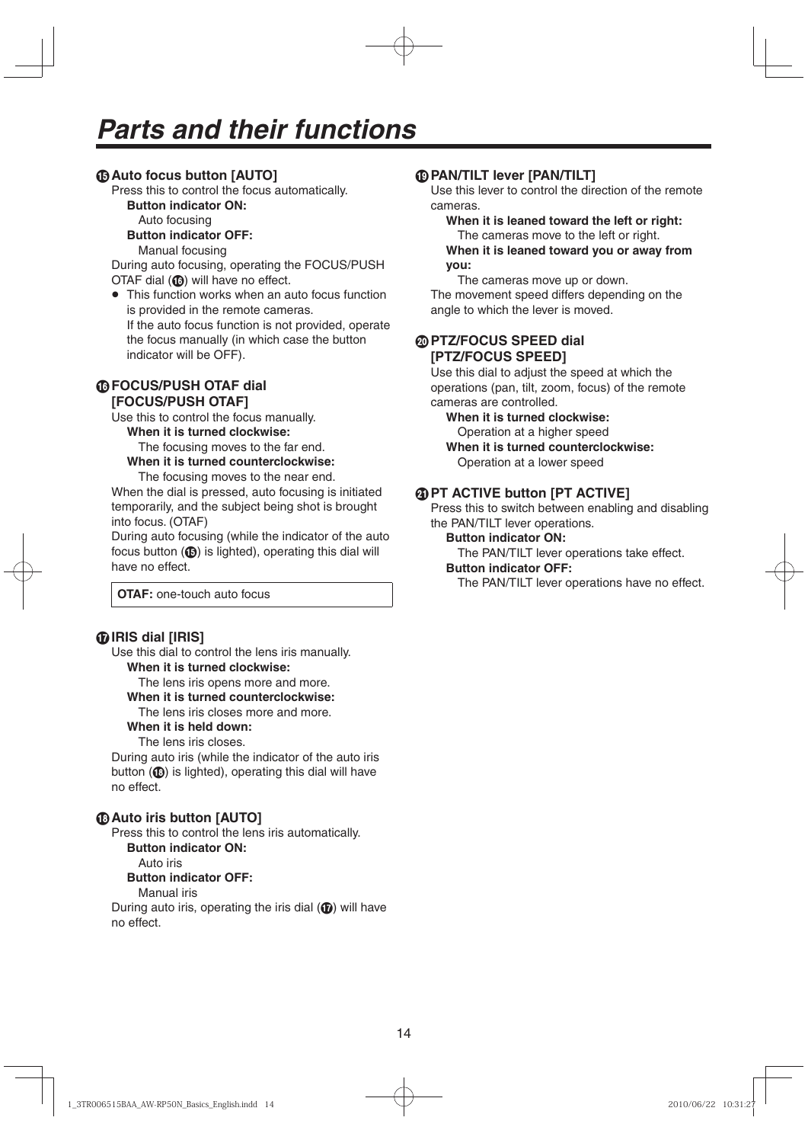# **Auto focus button [AUTO]**

Press this to control the focus automatically.

 **Button indicator ON:** 

Auto focusing

 **Button indicator OFF:** 

Manual focusing

During auto focusing, operating the FOCUS/PUSH  $\overline{O}$ TAF dial ( $\circled{a}$ ) will have no effect.

• This function works when an auto focus function is provided in the remote cameras. If the auto focus function is not provided, operate the focus manually (in which case the button indicator will be OFF).

## **FOCUS/PUSH OTAF dial [FOCUS/PUSH OTAF]**

Use this to control the focus manually.  **When it is turned clockwise:**

The focusing moves to the far end.

 **When it is turned counterclockwise:** 

The focusing moves to the near end.

When the dial is pressed, auto focusing is initiated temporarily, and the subject being shot is brought into focus. (OTAF)

During auto focusing (while the indicator of the auto focus button  $(\mathbf{G})$  is lighted), operating this dial will have no effect.

**OTAF:** one-touch auto focus

# **IRIS dial [IRIS]**

Use this dial to control the lens iris manually.  **When it is turned clockwise:**

The lens iris opens more and more.

 **When it is turned counterclockwise:** 

# The lens iris closes more and more.

## **When it is held down:**

The lens iris closes.

During auto iris (while the indicator of the auto iris button  $(\bigcirc$  is lighted), operating this dial will have no effect.

# **Auto iris button [AUTO]**

Press this to control the lens iris automatically.

 **Button indicator ON:** 

Auto iris

#### **Button indicator OFF:**

Manual iris

During auto iris, operating the iris dial  $(\mathbf{\textcircled{\textcirc}})$  will have no effect.

## **PAN/TILT lever [PAN/TILT]**

Use this lever to control the direction of the remote cameras.

# **When it is leaned toward the left or right:**

 The cameras move to the left or right.  **When it is leaned toward you or away from you:** 

 The cameras move up or down. The movement speed differs depending on the angle to which the lever is moved.

## **PTZ/FOCUS SPEED dial [PTZ/FOCUS SPEED]**

Use this dial to adjust the speed at which the operations (pan, tilt, zoom, focus) of the remote cameras are controlled.

 **When it is turned clockwise:** 

 Operation at a higher speed  **When it is turned counterclockwise:** 

Operation at a lower speed

# **@ PT ACTIVE button [PT ACTIVE]**

Press this to switch between enabling and disabling the PAN/TILT lever operations.

### **Button indicator ON:**

The PAN/TILT lever operations take effect.

#### **Button indicator OFF:**

The PAN/TILT lever operations have no effect.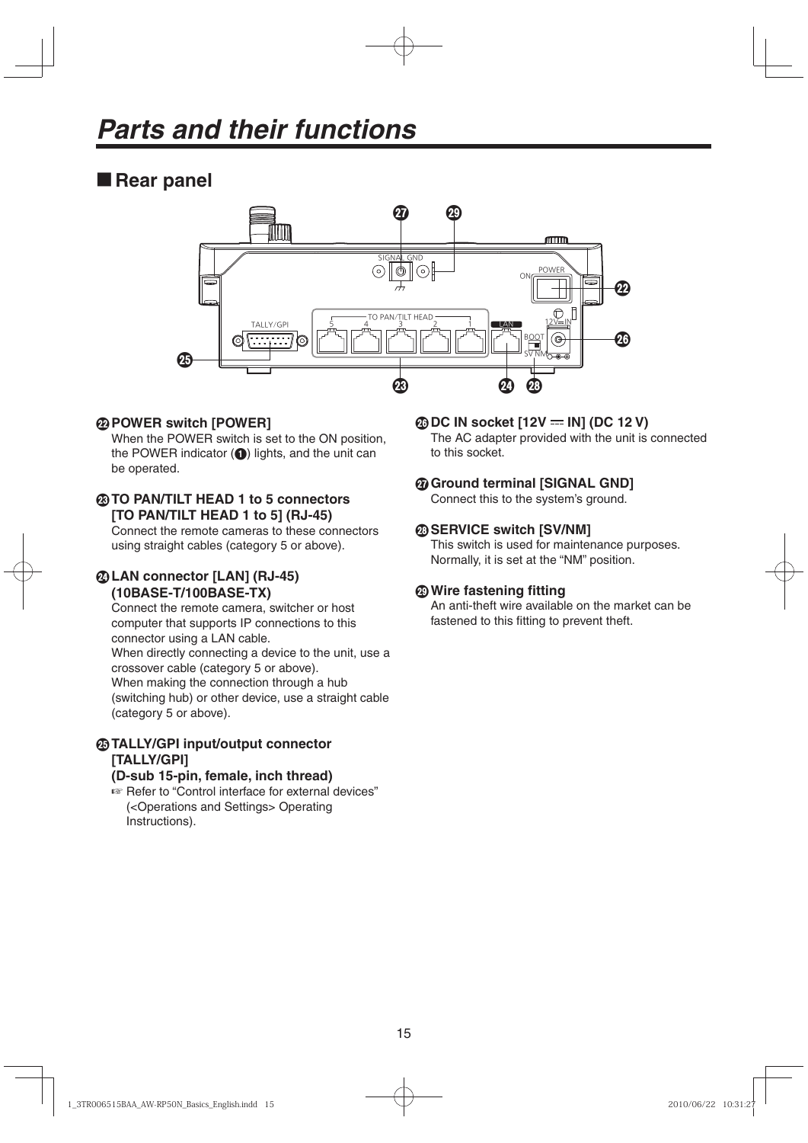# **Rear panel**



# **POWER switch [POWER]**

When the POWER switch is set to the ON position, the POWER indicator  $\left( \bigodot \right)$  lights, and the unit can be operated.

# **TO PAN/TILT HEAD 1 to 5 connectors [TO PAN/TILT HEAD 1 to 5] (RJ-45)**

Connect the remote cameras to these connectors using straight cables (category 5 or above).

# **LAN connector [LAN] (RJ-45) (10BASE-T/100BASE-TX)**

Connect the remote camera, switcher or host computer that supports IP connections to this connector using a LAN cable. When directly connecting a device to the unit, use a crossover cable (category 5 or above). When making the connection through a hub (switching hub) or other device, use a straight cable (category 5 or above).

# **TALLY/GPI input/output connector [TALLY/GPI]**

## **(D-sub 15-pin, female, inch thread)**

**Refer to "Control interface for external devices"** (<Operations and Settings> Operating Instructions).

## **@DC IN socket [12V = IN] (DC 12 V)**

The AC adapter provided with the unit is connected to this socket.

# **Ground terminal [SIGNAL GND]**

Connect this to the system's ground.

## **SERVICE switch [SV/NM]**

This switch is used for maintenance purposes. Normally, it is set at the "NM" position.

# **Wire fastening fitting**

An anti-theft wire available on the market can be fastened to this fitting to prevent theft.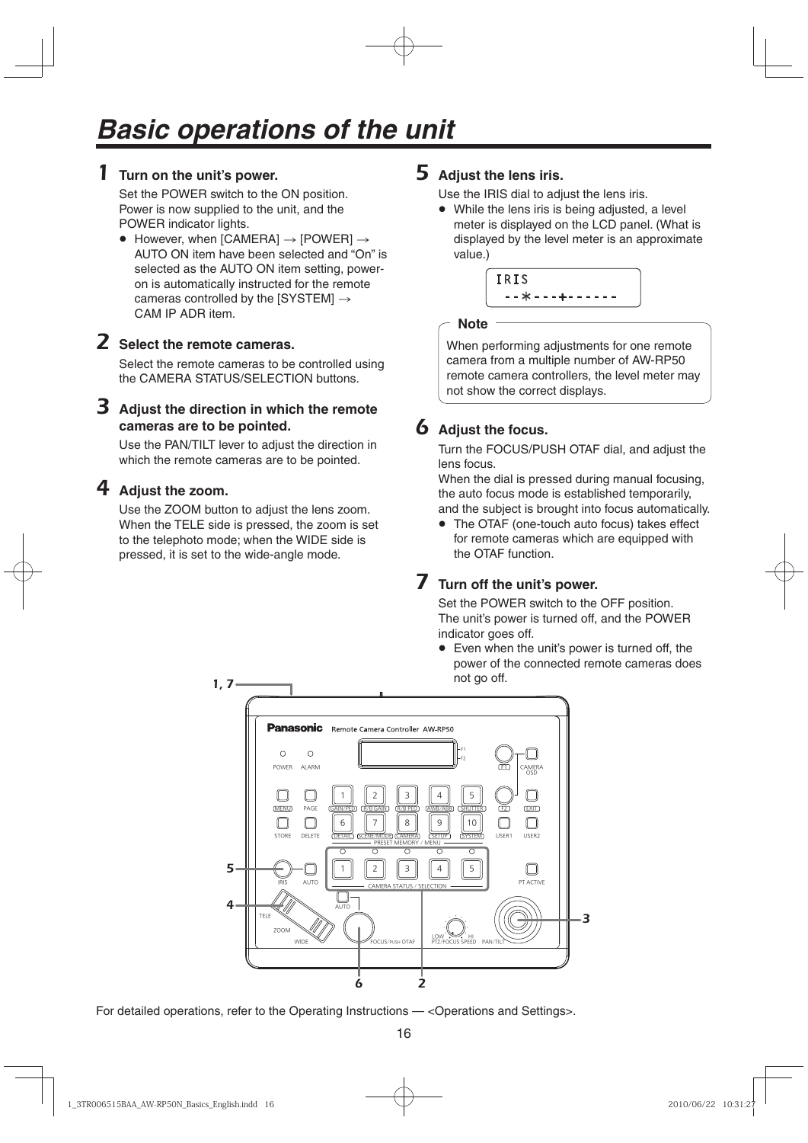# 1 **Turn on the unit's power.**

Set the POWER switch to the ON position. Power is now supplied to the unit, and the POWER indicator lights.

 $\bullet$  However, when [CAMERA]  $\rightarrow$  [POWER]  $\rightarrow$ AUTO ON item have been selected and "On" is selected as the AUTO ON item setting, poweron is automatically instructed for the remote cameras controlled by the  $[SYSTEM] \rightarrow$ CAM IP ADR item.

# 2 **Select the remote cameras.**

Select the remote cameras to be controlled using the CAMERA STATUS/SELECTION buttons.

# 3 **Adjust the direction in which the remote cameras are to be pointed.**

Use the PAN/TILT lever to adjust the direction in which the remote cameras are to be pointed.

# 4 **Adjust the zoom.**

Use the ZOOM button to adjust the lens zoom. When the TELE side is pressed, the zoom is set to the telephoto mode; when the WIDE side is pressed, it is set to the wide-angle mode.

# 5 **Adjust the lens iris.**

Use the IRIS dial to adjust the lens iris.

• While the lens iris is being adjusted, a level meter is displayed on the LCD panel. (What is displayed by the level meter is an approximate value.)

IRIS **IRIS --**¼**---+------**

## **Note**

When performing adjustments for one remote camera from a multiple number of AW-RP50 remote camera controllers, the level meter may not show the correct displays.

# 6 **Adjust the focus.**

| Turn the FOCUS/PUSH OTAF dial, and adjust the |  |
|-----------------------------------------------|--|
| lens focus.                                   |  |

When the dial is pressed during manual focusing, the auto focus mode is established temporarily, and the subject is brought into focus automatically.

• The OTAF (one-touch auto focus) takes effect for remote cameras which are equipped with the OTAF function.

# 7 **Turn off the unit's power.**

Set the POWER switch to the OFF position. The unit's power is turned off, and the POWER indicator goes off.

 Even when the unit's power is turned off, the power of the connected remote cameras does not go off.



For detailed operations, refer to the Operating Instructions — < Operations and Settings>.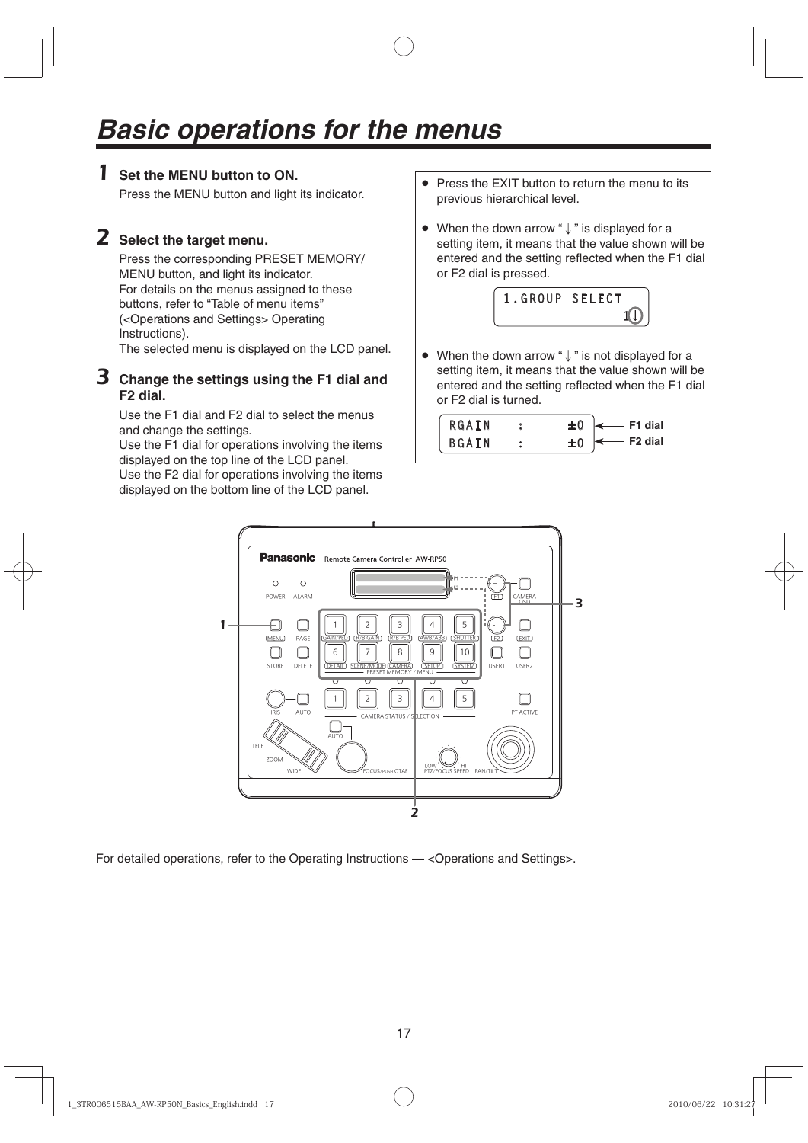# 1 **Set the MENU button to ON.**

Press the MENU button and light its indicator.

# 2 **Select the target menu.**

Press the corresponding PRESET MEMORY/ MENU button, and light its indicator. For details on the menus assigned to these buttons, refer to "Table of menu items" (<Operations and Settings> Operating Instructions).

The selected menu is displayed on the LCD panel.

# 3 **Change the settings using the F1 dial and F2 dial.**

Use the F1 dial and F2 dial to select the menus and change the settings.

Use the F1 dial for operations involving the items displayed on the top line of the LCD panel.

Use the F2 dial for operations involving the items displayed on the bottom line of the LCD panel.

- Press the EXIT button to return the menu to its previous hierarchical level.
- When the down arrow " $\downarrow$ " is displayed for a setting item, it means that the value shown will be entered and the setting reflected when the F1 dial or F2 dial is pressed.



• When the down arrow " $\downarrow$ " is not displayed for a setting item, it means that the value shown will be entered and the setting reflected when the F1 dial or F2 dial is turned.

| RGAIN<br><b>BGAIN</b> | $\longleftarrow$ F1 dial<br>- F2 dial |
|-----------------------|---------------------------------------|
|                       |                                       |



For detailed operations, refer to the Operating Instructions — <Operations and Settings>.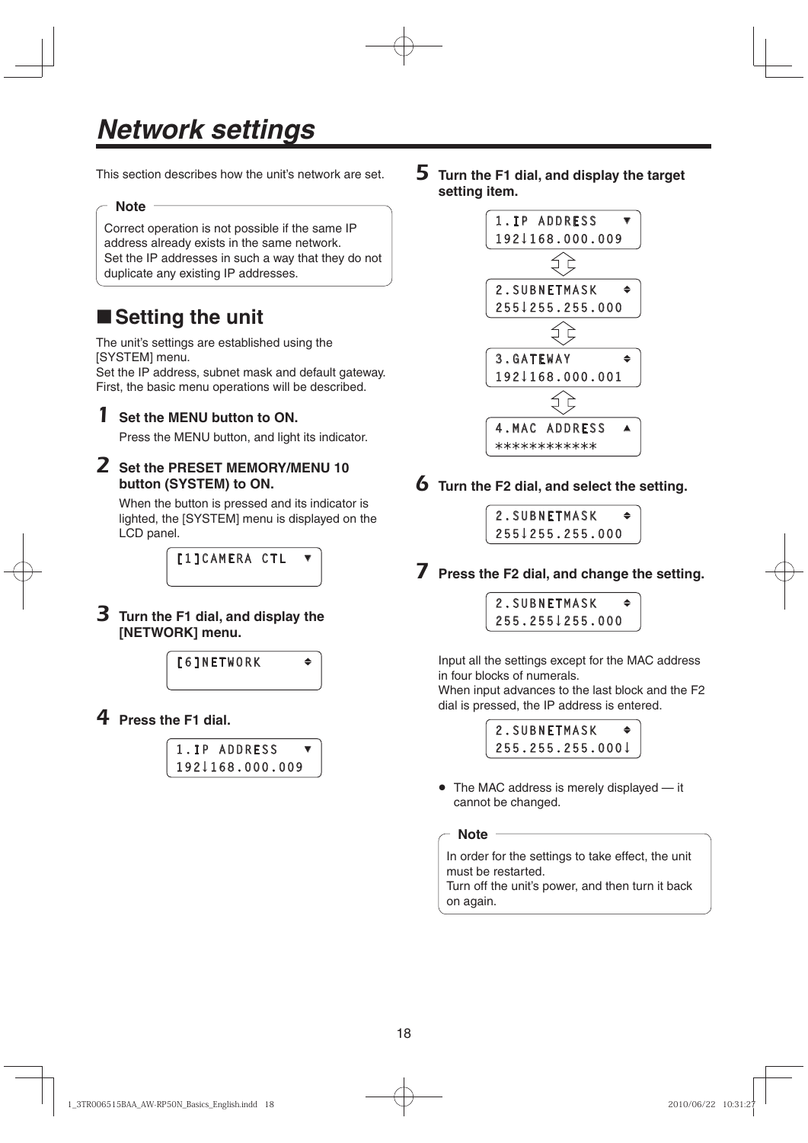# *Network settings*

This section describes how the unit's network are set.

## **Note**

Correct operation is not possible if the same IP address already exists in the same network. Set the IP addresses in such a way that they do not duplicate any existing IP addresses.

# ■ Setting the unit

The unit's settings are established using the [SYSTEM] menu.

Set the IP address, subnet mask and default gateway. First, the basic menu operations will be described.

# 1 **Set the MENU button to ON.**

Press the MENU button, and light its indicator.

# 2 **Set the PRESET MEMORY/MENU 10 button (SYSTEM) to ON.**

When the button is pressed and its indicator is lighted, the [SYSTEM] menu is displayed on the LCD panel.

> *FITCAMERA CTL* **[1]CAMERA CTL**

# 3 **Turn the F1 dial, and display the [NETWORK] menu.**



4 **Press the F1 dial.**

| 1.IP ADDRESS    |  |
|-----------------|--|
| 1921168.000.009 |  |
|                 |  |

5 **Turn the F1 dial, and display the target setting item.**



6 **Turn the F2 dial, and select the setting.**

| 2.SUBNETMASK    | ◆ |
|-----------------|---|
| 255 255.255.000 |   |
|                 |   |

7 **Press the F2 dial, and change the setting.**

| 2.SUBNETMASK    | ♠ |
|-----------------|---|
| 255.2551255.000 |   |
|                 |   |

Input all the settings except for the MAC address in four blocks of numerals. When input advances to the last block and the F2 dial is pressed, the IP address is entered.



• The MAC address is merely displayed — it cannot be changed.

**Note**

In order for the settings to take effect, the unit must be restarted.

Turn off the unit's power, and then turn it back on again.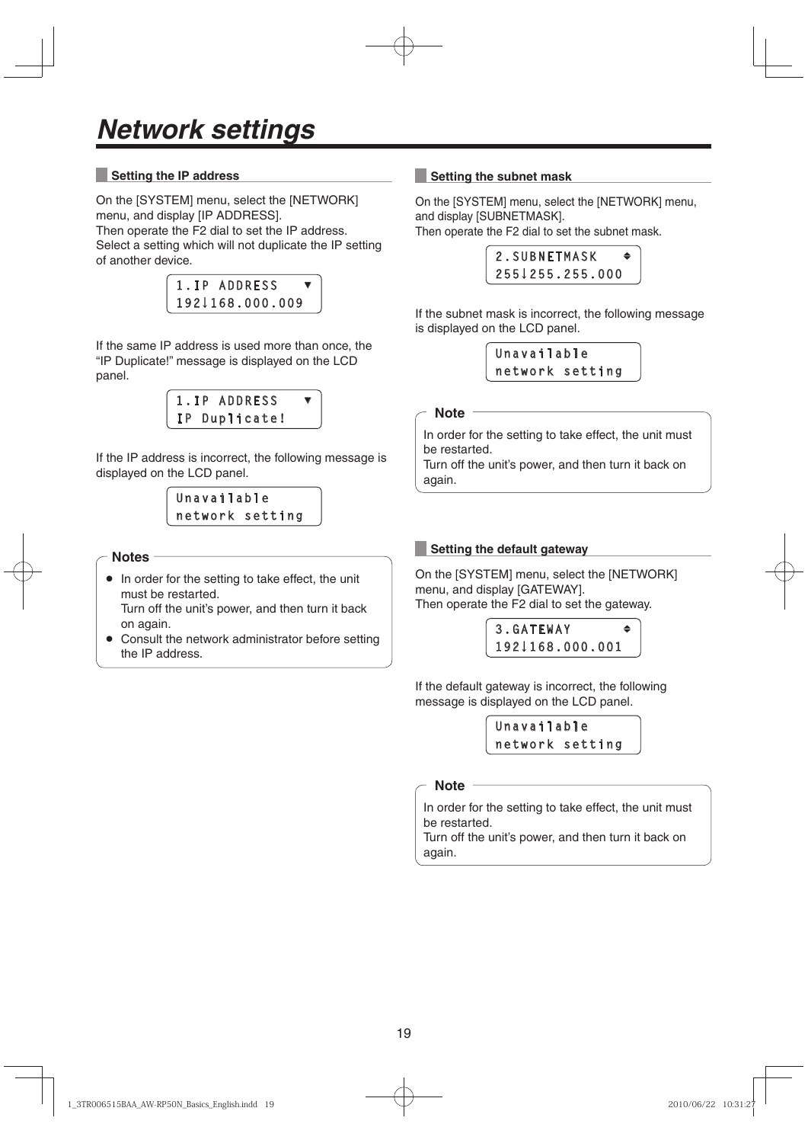## **Setting the IP address**

On the [SYSTEM] menu, select the [NETWORK] menu, and display [IP ADDRESS]. Then operate the F2 dial to set the IP address. Select a setting which will not duplicate the IP setting of another device.



If the same IP address is used more than once, the "IP Duplicate!" message is displayed on the LCD panel.

> 1.IP ADDRESS **1P Duplicate! IP Duplicate!**

If the IP address is incorrect, the following message is displayed on the LCD panel.

#### Unavailable **Unavailable network setting**

#### **Notes**

- In order for the setting to take effect, the unit must be restarted. Turn off the unit's power, and then turn it back on again.
- Consult the network administrator before setting the IP address.

### **Setting the subnet mask**

On the [SYSTEM] menu, select the [NETWORK] menu, and display [SUBNETMASK].

Then operate the F2 dial to set the subnet mask.

|  |  |  |  | 2.SUBNETMASK |  |                 | ٠ |
|--|--|--|--|--------------|--|-----------------|---|
|  |  |  |  |              |  | 255↓255.255.000 |   |
|  |  |  |  |              |  |                 |   |

If the subnet mask is incorrect, the following message is displayed on the LCD panel.



**Note**

In order for the setting to take effect, the unit must be restarted.

Turn off the unit's power, and then turn it back on again.

#### **Setting the default gateway**

On the [SYSTEM] menu, select the [NETWORK] menu, and display [GATEWAY]. Then operate the F2 dial to set the gateway.



If the default gateway is incorrect, the following message is displayed on the LCD panel.

> **Unavailable network setting**

#### **Note**

In order for the setting to take effect, the unit must be restarted.

Turn off the unit's power, and then turn it back on again.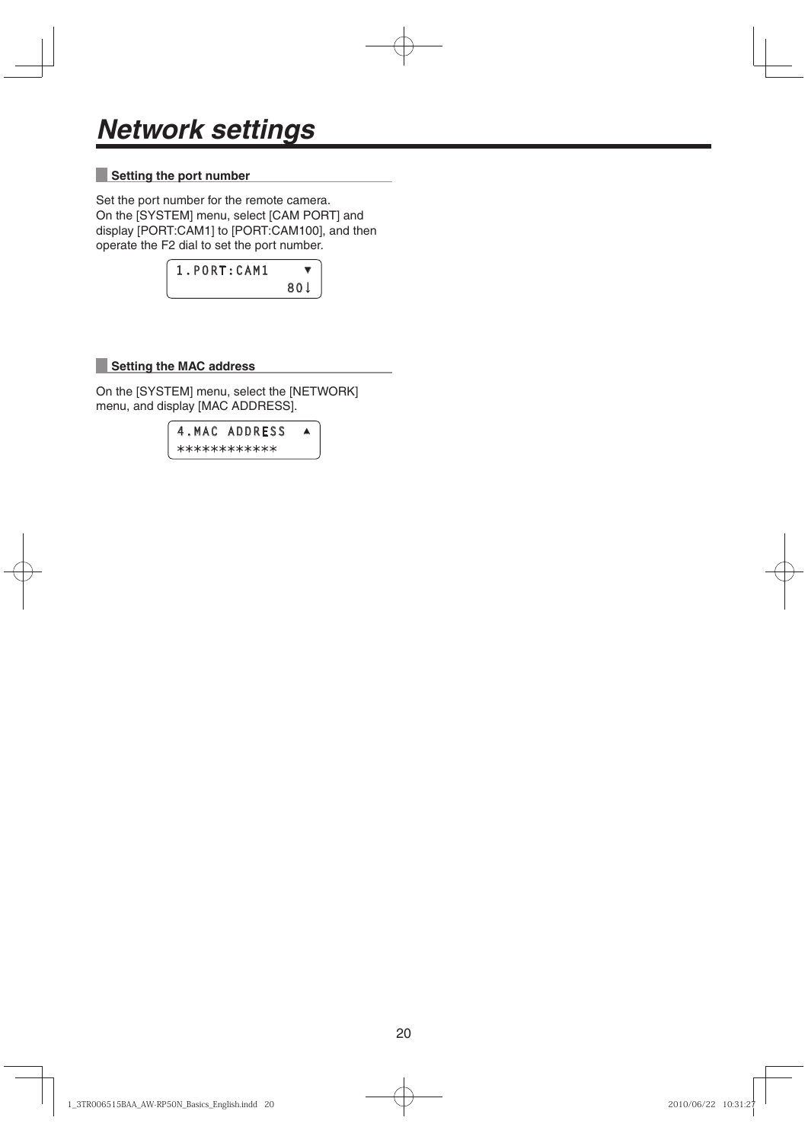## **Setting the port number**

Set the port number for the remote camera. On the [SYSTEM] menu, select [CAM PORT] and display [PORT:CAM1] to [PORT:CAM100], and then operate the F2 dial to set the port number.

| 1. PORT: CAM1 |      |
|---------------|------|
|               | 80 J |

# **Setting the MAC address**

On the [SYSTEM] menu, select the [NETWORK] menu, and display [MAC ADDRESS].

**4.MAC ADDRESS ▲**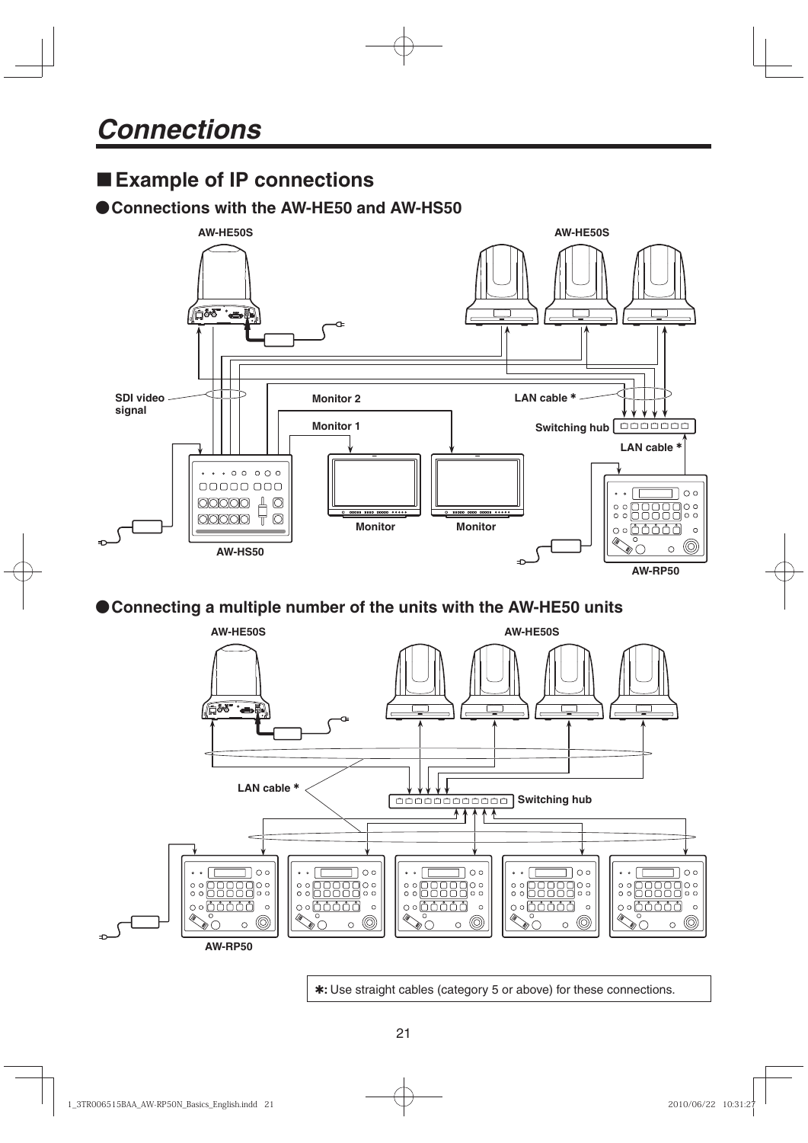# **Example of IP connections**

# **Connections with the AW-HE50 and AW-HS50**



# **Connecting a multiple number of the units with the AW-HE50 units**



**:** Use straight cables (category 5 or above) for these connections.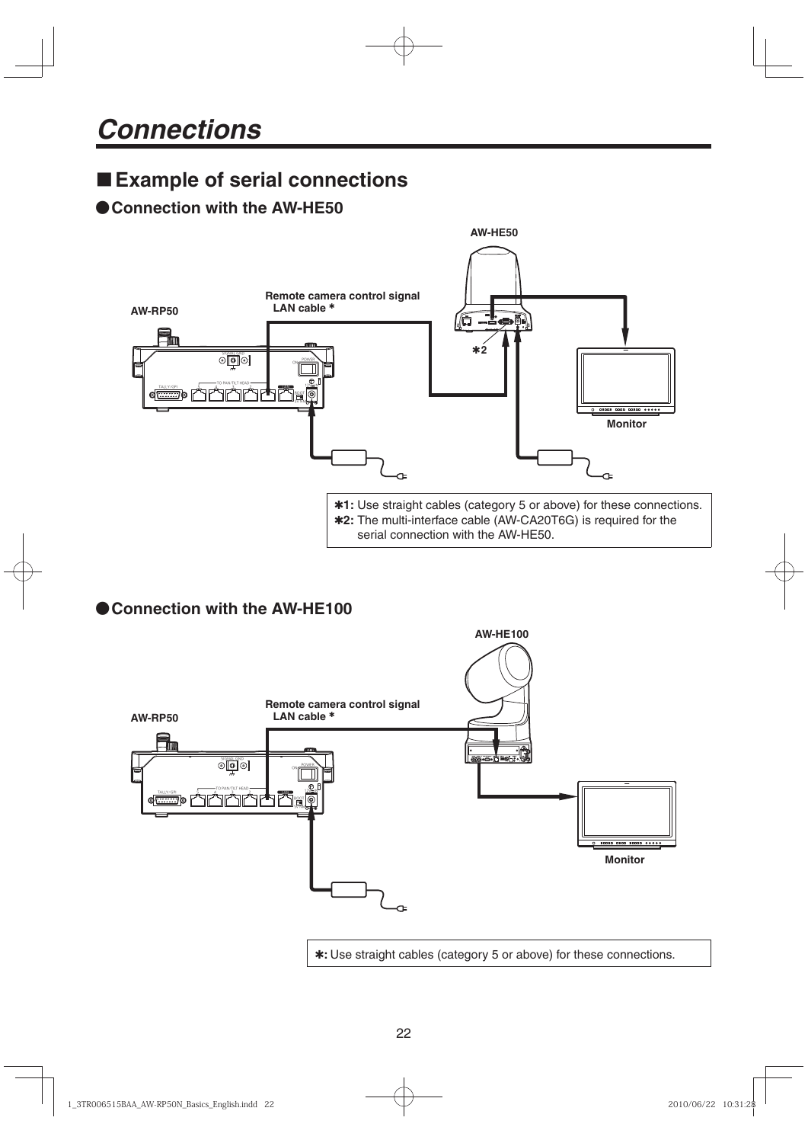# **Example of serial connections**

# **Connection with the AW-HE50**



# **Connection with the AW-HE100**

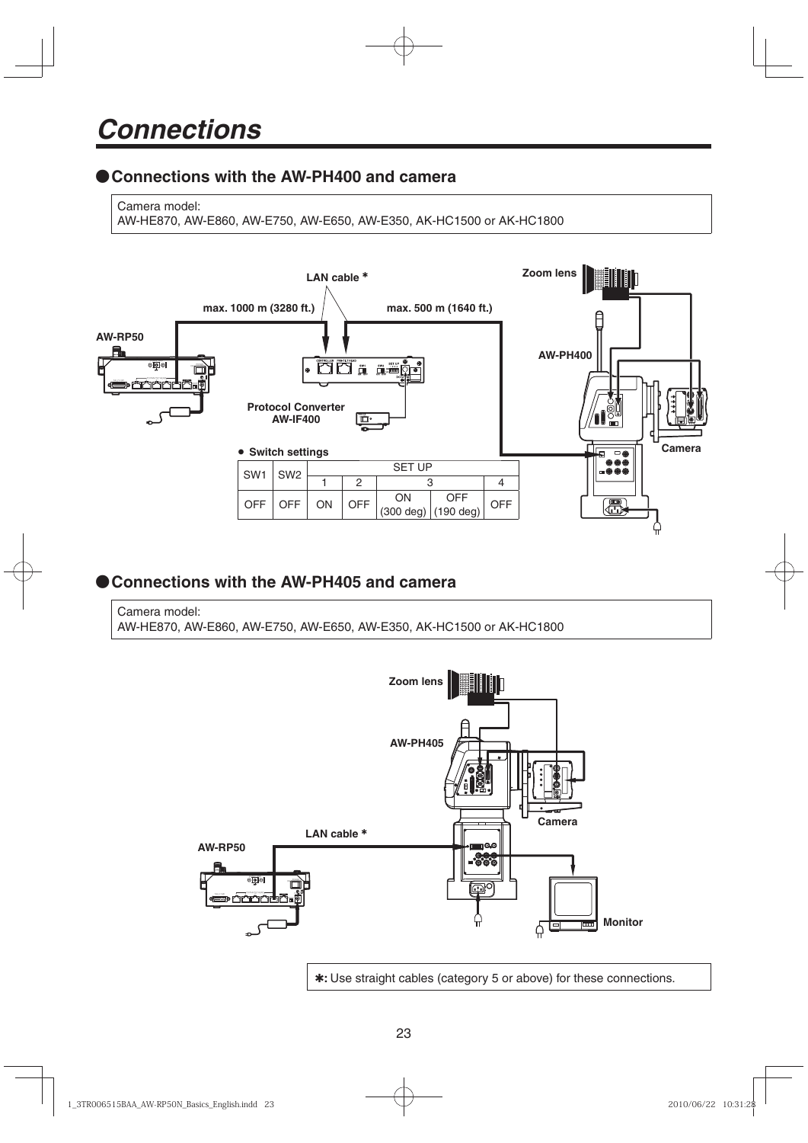# **Connections with the AW-PH400 and camera**

Camera model:

AW-HE870, AW-E860, AW-E750, AW-E650, AW-E350, AK-HC1500 or AK-HC1800



# **Connections with the AW-PH405 and camera**

Camera model: AW-HE870, AW-E860, AW-E750, AW-E650, AW-E350, AK-HC1500 or AK-HC1800



**:** Use straight cables (category 5 or above) for these connections.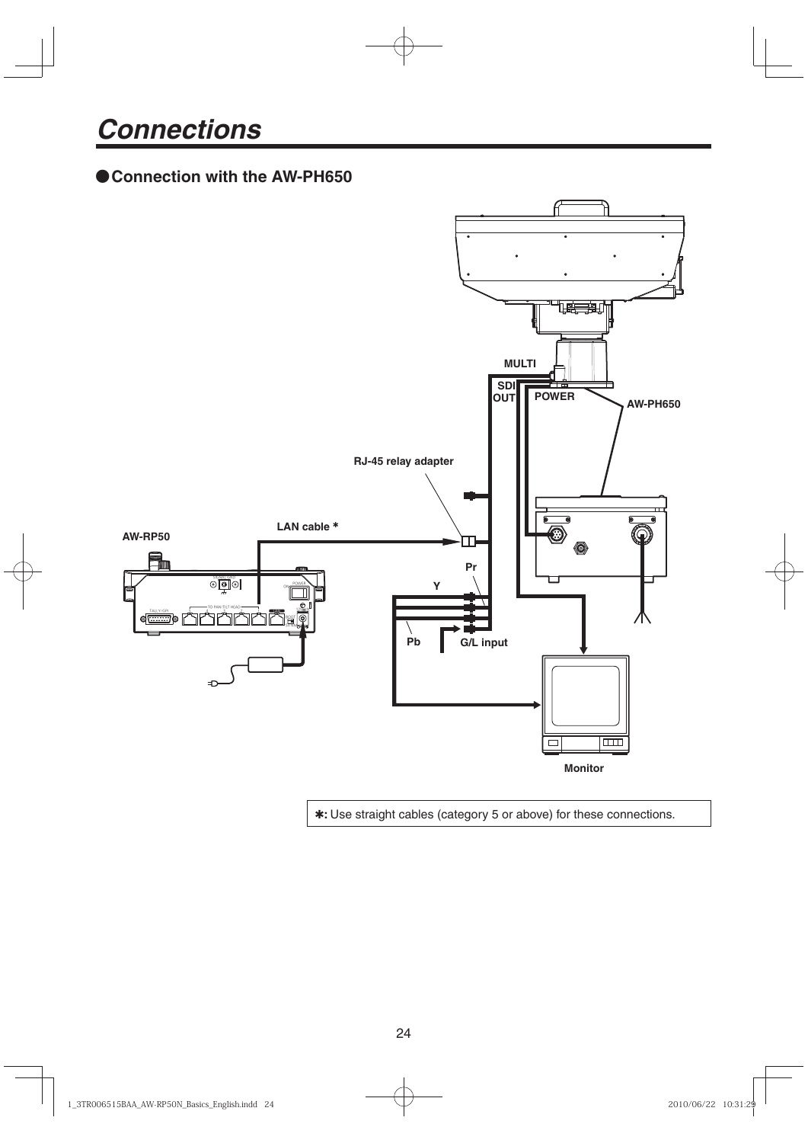# **Connection with the AW-PH650**



**:** Use straight cables (category 5 or above) for these connections.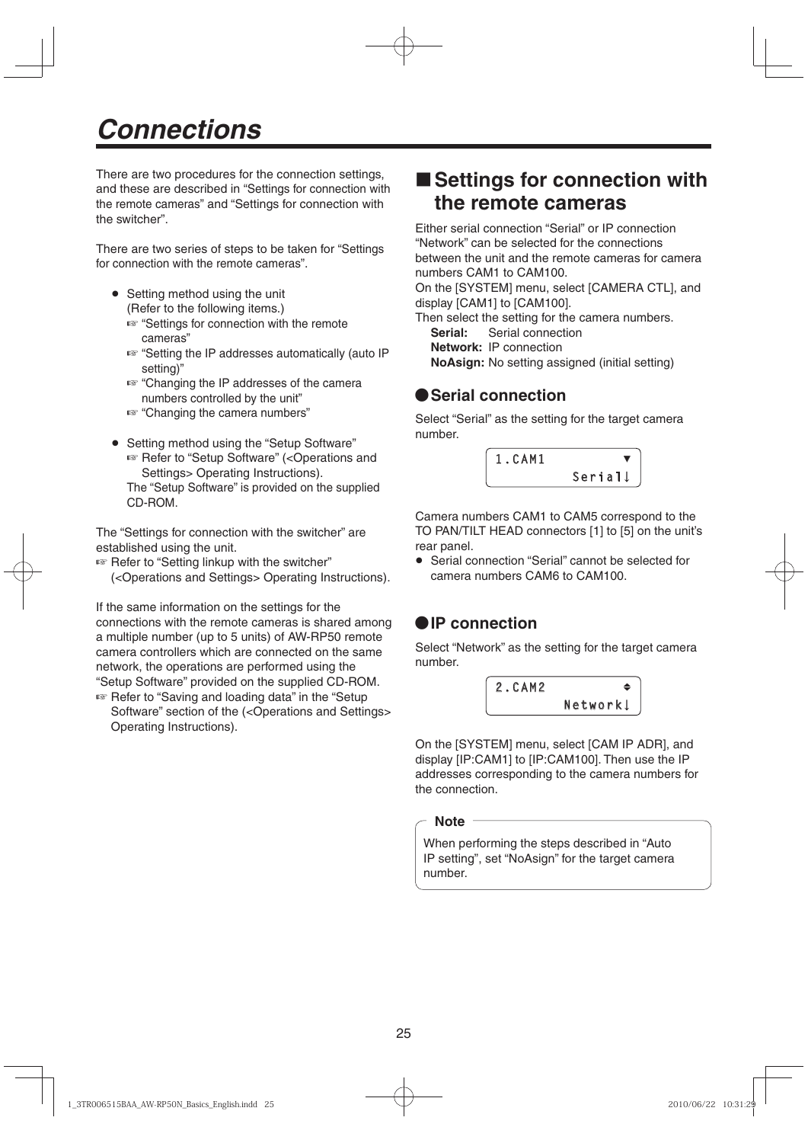There are two procedures for the connection settings, and these are described in "Settings for connection with the remote cameras" and "Settings for connection with the switcher".

There are two series of steps to be taken for "Settings for connection with the remote cameras".

- Setting method using the unit (Refer to the following items.)
	- "Settings for connection with the remote cameras"
	- "Setting the IP addresses automatically (auto IP setting)"
	- **EXEC** "Changing the IP addresses of the camera numbers controlled by the unit"
	- **EXEC** "Changing the camera numbers"
- Setting method using the "Setup Software" ■ Refer to "Setup Software" (<Operations and Settings> Operating Instructions).
	- The "Setup Software" is provided on the supplied CD-ROM.

The "Settings for connection with the switcher" are established using the unit.

- **Refer to "Setting linkup with the switcher"** 
	- (<Operations and Settings> Operating Instructions).

If the same information on the settings for the connections with the remote cameras is shared among a multiple number (up to 5 units) of AW-RP50 remote camera controllers which are connected on the same network, the operations are performed using the "Setup Software" provided on the supplied CD-ROM. ■ Refer to "Saving and loading data" in the "Setup

Software" section of the (<Operations and Settings> Operating Instructions).

# ■ Settings for connection with **the remote cameras**

Either serial connection "Serial" or IP connection "Network" can be selected for the connections between the unit and the remote cameras for camera numbers CAM1 to CAM100.

On the [SYSTEM] menu, select [CAMERA CTL], and display [CAM1] to [CAM100].

Then select the setting for the camera numbers. **Serial:** Serial connection

**Network:** IP connection

**NoAsign:** No setting assigned (initial setting)

# **Serial connection**

Select "Serial" as the setting for the target camera number.

| 1.CAM1 |         |
|--------|---------|
|        | Seriall |
|        |         |

Camera numbers CAM1 to CAM5 correspond to the TO PAN/TILT HEAD connectors [1] to [5] on the unit's rear panel.

 Serial connection "Serial" cannot be selected for camera numbers CAM6 to CAM100.

# **IP connection**

Select "Network" as the setting for the target camera number.



On the [SYSTEM] menu, select [CAM IP ADR], and display [IP:CAM1] to [IP:CAM100]. Then use the IP addresses corresponding to the camera numbers for the connection.

**Note**

When performing the steps described in "Auto IP setting", set "NoAsign" for the target camera number.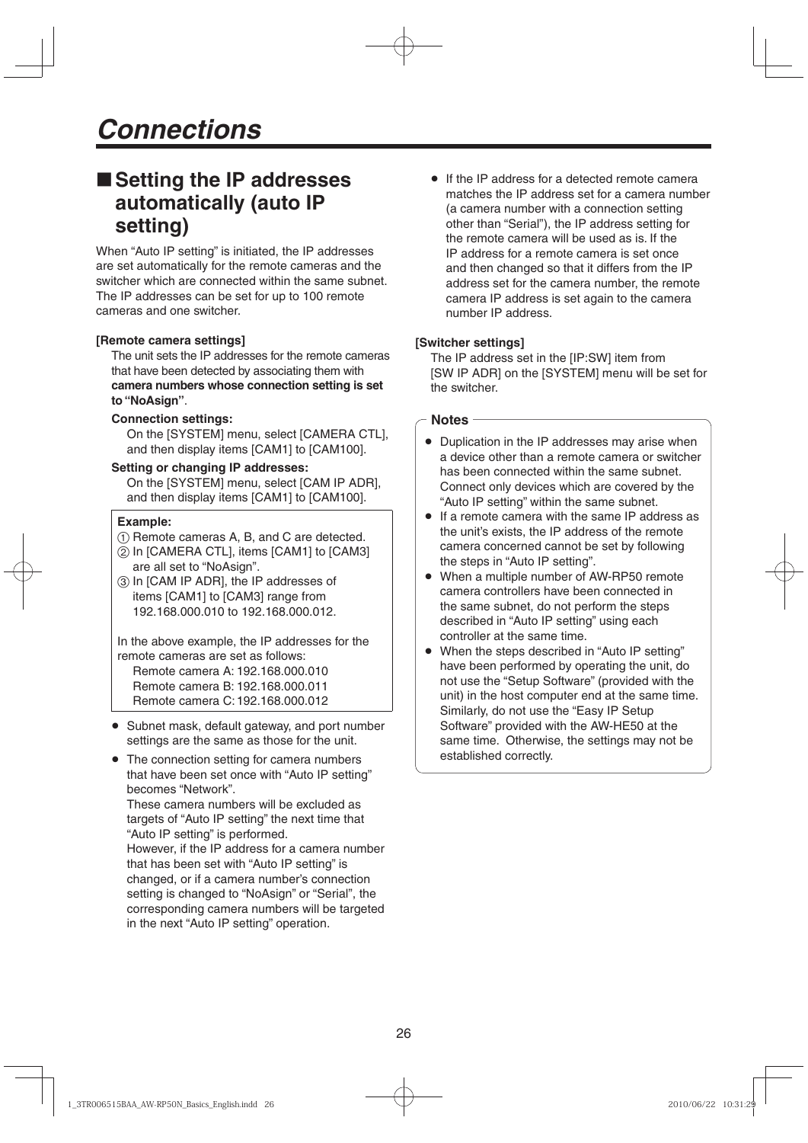# ■ Setting the IP addresses **automatically (auto IP setting)**

When "Auto IP setting" is initiated, the IP addresses are set automatically for the remote cameras and the switcher which are connected within the same subnet. The IP addresses can be set for up to 100 remote cameras and one switcher.

### **[Remote camera settings]**

The unit sets the IP addresses for the remote cameras that have been detected by associating them with **camera numbers whose connection setting is set to "NoAsign"**.

### **Connection settings:**

 On the [SYSTEM] menu, select [CAMERA CTL], and then display items [CAM1] to [CAM100].

#### **Setting or changing IP addresses:**

 On the [SYSTEM] menu, select [CAM IP ADR], and then display items [CAM1] to [CAM100].

#### **Example:**

- $(1)$  Remote cameras A, B, and C are detected.
- In [CAMERA CTL], items [CAM1] to [CAM3] are all set to "NoAsign".
- In [CAM IP ADR], the IP addresses of items [CAM1] to [CAM3] range from 192.168.000.010 to 192.168.000.012.

In the above example, the IP addresses for the remote cameras are set as follows:

Remote camera A: 192.168.000.010 Remote camera B: 192.168.000.011 Remote camera C: 192.168.000.012

- Subnet mask, default gateway, and port number settings are the same as those for the unit.
- The connection setting for camera numbers that have been set once with "Auto IP setting" becomes "Network".

These camera numbers will be excluded as targets of "Auto IP setting" the next time that "Auto IP setting" is performed.

However, if the IP address for a camera number that has been set with "Auto IP setting" is changed, or if a camera number's connection setting is changed to "NoAsign" or "Serial", the corresponding camera numbers will be targeted in the next "Auto IP setting" operation.

● If the IP address for a detected remote camera matches the IP address set for a camera number (a camera number with a connection setting other than "Serial"), the IP address setting for the remote camera will be used as is. If the IP address for a remote camera is set once and then changed so that it differs from the IP address set for the camera number, the remote camera IP address is set again to the camera number IP address.

#### **[Switcher settings]**

The IP address set in the [IP:SW] item from [SW IP ADR] on the [SYSTEM] menu will be set for the switcher.

#### **Notes**

- Duplication in the IP addresses may arise when a device other than a remote camera or switcher has been connected within the same subnet. Connect only devices which are covered by the "Auto IP setting" within the same subnet.
- If a remote camera with the same IP address as the unit's exists, the IP address of the remote camera concerned cannot be set by following the steps in "Auto IP setting".
- When a multiple number of AW-RP50 remote camera controllers have been connected in the same subnet, do not perform the steps described in "Auto IP setting" using each controller at the same time.
- When the steps described in "Auto IP setting" have been performed by operating the unit, do not use the "Setup Software" (provided with the unit) in the host computer end at the same time. Similarly, do not use the "Easy IP Setup Software" provided with the AW-HE50 at the same time. Otherwise, the settings may not be established correctly.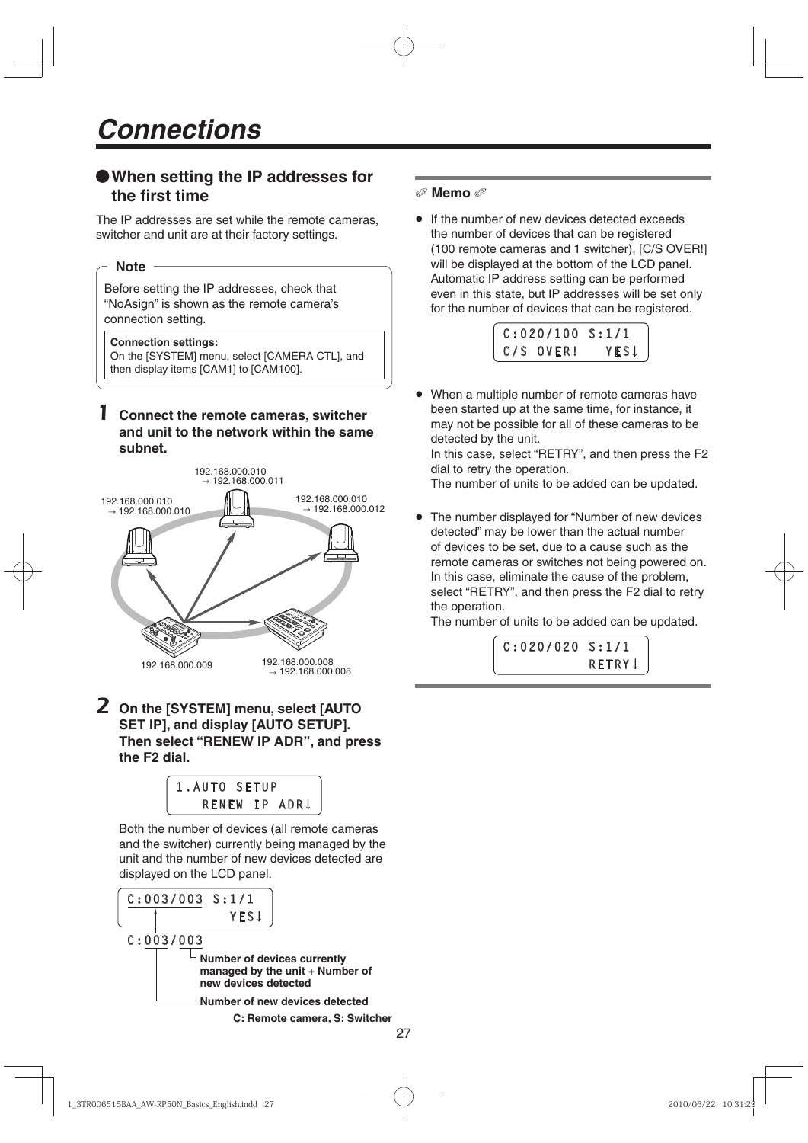# **When setting the IP addresses for the first time**

The IP addresses are set while the remote cameras, switcher and unit are at their factory settings.

### **Note**

Before setting the IP addresses, check that "NoAsign" is shown as the remote camera's connection setting.

#### **Connection settings:**

On the [SYSTEM] menu, select [CAMERA CTL], and then display items [CAM1] to [CAM100].

## 1 **Connect the remote cameras, switcher and unit to the network within the same subnet.**



2 **On the [SYSTEM] menu, select [AUTO SET IP], and display [AUTO SETUP]. Then select "RENEW IP ADR", and press the F2 dial.**

| 1.AUTO SETUP |  |               |
|--------------|--|---------------|
|              |  | RENEW IP ADRI |
|              |  |               |

Both the number of devices (all remote cameras and the switcher) currently being managed by the unit and the number of new devices detected are displayed on the LCD panel.



## **Memo**

**If the number of new devices detected exceeds** the number of devices that can be registered (100 remote cameras and 1 switcher), [C/S OVER!] will be displayed at the bottom of the LCD panel. Automatic IP address setting can be performed even in this state, but IP addresses will be set only for the number of devices that can be registered.



 When a multiple number of remote cameras have been started up at the same time, for instance, it may not be possible for all of these cameras to be detected by the unit.

In this case, select "RETRY", and then press the F2 dial to retry the operation.

The number of units to be added can be updated.

 The number displayed for "Number of new devices detected" may be lower than the actual number of devices to be set, due to a cause such as the remote cameras or switches not being powered on. In this case, eliminate the cause of the problem, select "RETRY", and then press the F2 dial to retry the operation.

The number of units to be added can be updated.

**C:020/020 S:1/1**  *<u>RETRY CONSTRUCTION</u>*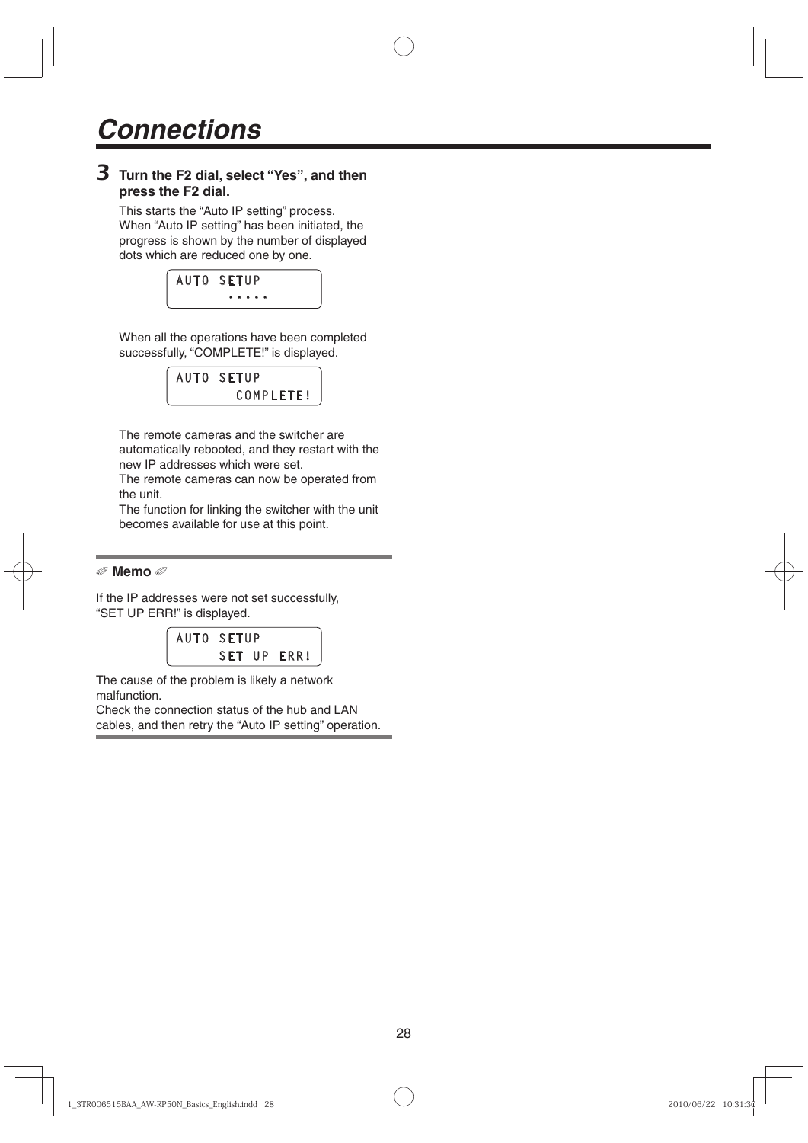# 3 **Turn the F2 dial, select "Yes", and then press the F2 dial.**

This starts the "Auto IP setting" process. When "Auto IP setting" has been initiated, the progress is shown by the number of displayed dots which are reduced one by one.



When all the operations have been completed successfully, "COMPLETE!" is displayed.

#### **AUTO SETUP** COMPLETE!  **COMPLETE**

The remote cameras and the switcher are automatically rebooted, and they restart with the new IP addresses which were set.

The remote cameras can now be operated from the unit.

The function for linking the switcher with the unit becomes available for use at this point.

## **Memo**

If the IP addresses were not set successfully, "SET UP ERR!" is displayed.

**AUTO SETUP SET UP ERR!** *<u>SET UP ERR</u>!* 

The cause of the problem is likely a network malfunction.

Check the connection status of the hub and LAN cables, and then retry the "Auto IP setting" operation.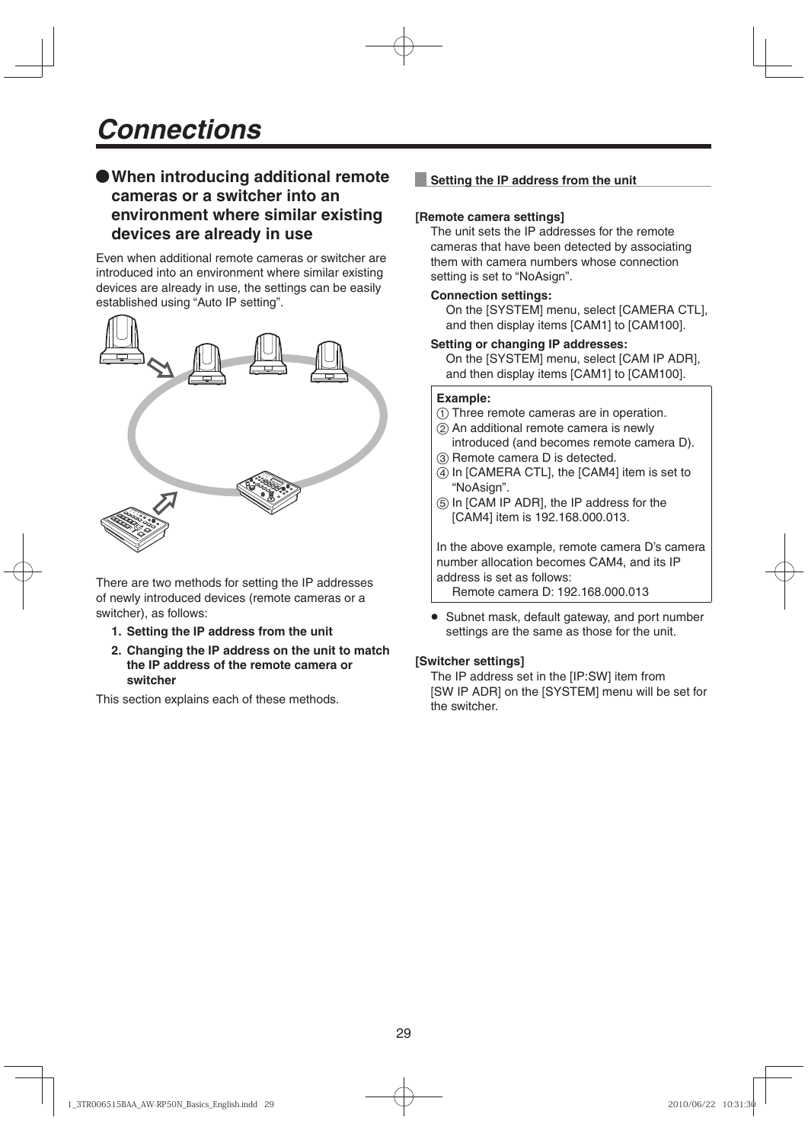# **When introducing additional remote cameras or a switcher into an environment where similar existing devices are already in use**

Even when additional remote cameras or switcher are introduced into an environment where similar existing devices are already in use, the settings can be easily established using "Auto IP setting".



There are two methods for setting the IP addresses of newly introduced devices (remote cameras or a switcher), as follows:

- **1. Setting the IP address from the unit**
- **2. Changing the IP address on the unit to match the IP address of the remote camera or switcher**

This section explains each of these methods.

# **Setting the IP address from the unit**

### **[Remote camera settings]**

The unit sets the IP addresses for the remote cameras that have been detected by associating them with camera numbers whose connection setting is set to "NoAsign".

#### **Connection settings:**

 On the [SYSTEM] menu, select [CAMERA CTL], and then display items [CAM1] to [CAM100].

#### **Setting or changing IP addresses:**

 On the [SYSTEM] menu, select [CAM IP ADR], and then display items [CAM1] to [CAM100].

### **Example:**

Three remote cameras are in operation.

- (2) An additional remote camera is newly introduced (and becomes remote camera D).
- **(3) Remote camera D is detected.**
- (4) In [CAMERA CTL], the [CAM4] item is set to "NoAsign".
- $(5)$  In [CAM IP ADR], the IP address for the [CAM4] item is 192.168.000.013.

In the above example, remote camera D's camera number allocation becomes CAM4, and its IP address is set as follows:

Remote camera D: 192.168.000.013

• Subnet mask, default gateway, and port number settings are the same as those for the unit.

## **[Switcher settings]**

The IP address set in the [IP:SW] item from [SW IP ADR] on the [SYSTEM] menu will be set for the switcher.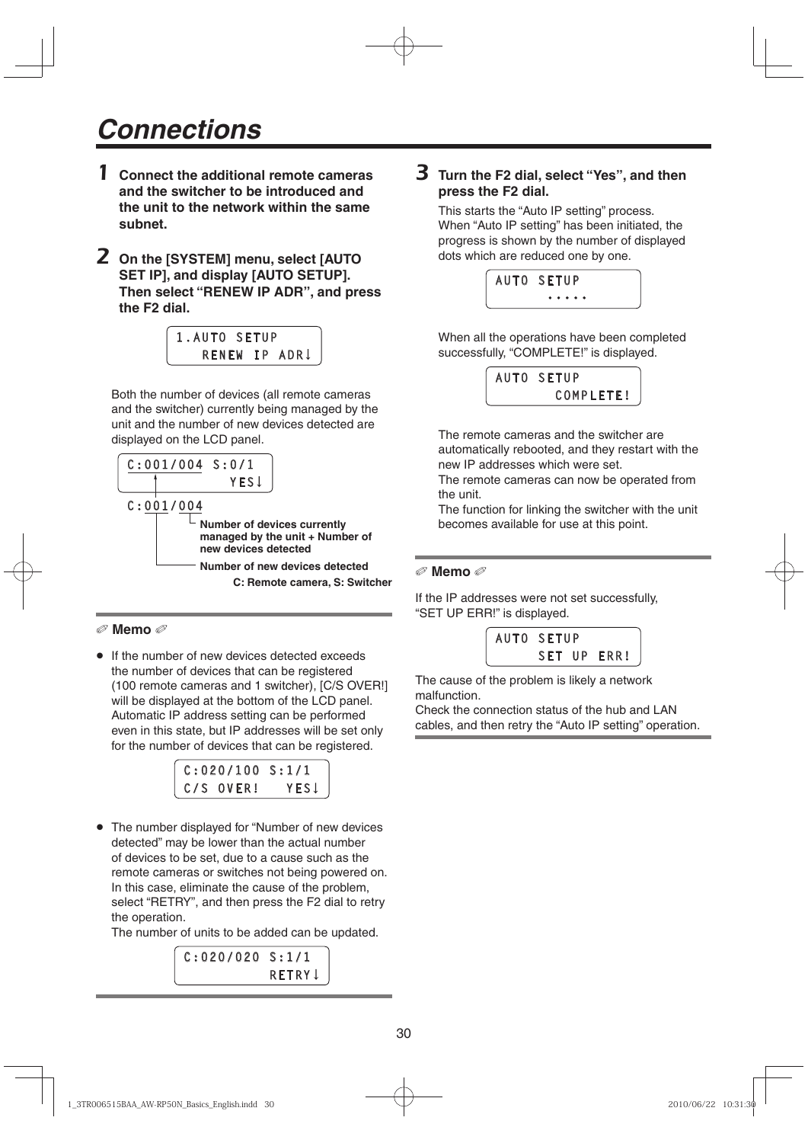- 1 **Connect the additional remote cameras and the switcher to be introduced and the unit to the network within the same subnet.**
- 2 **On the [SYSTEM] menu, select [AUTO SET IP], and display [AUTO SETUP]. Then select "RENEW IP ADR", and press the F2 dial.**

| 1.AUTO SETUP |  |               |
|--------------|--|---------------|
|              |  | RENEW IP ADRU |
|              |  |               |

Both the number of devices (all remote cameras and the switcher) currently being managed by the unit and the number of new devices detected are displayed on the LCD panel.



## **Memo**

• If the number of new devices detected exceeds the number of devices that can be registered (100 remote cameras and 1 switcher), [C/S OVER!] will be displayed at the bottom of the LCD panel. Automatic IP address setting can be performed even in this state, but IP addresses will be set only for the number of devices that can be registered.



• The number displayed for "Number of new devices" detected" may be lower than the actual number of devices to be set, due to a cause such as the remote cameras or switches not being powered on. In this case, eliminate the cause of the problem, select "RETRY", and then press the F2 dial to retry the operation.

The number of units to be added can be updated.

 $C: 020/020 S: 1/1$ RETRY **J**  *<u>RETRY CONSTRUCTION</u>* 

# 3 **Turn the F2 dial, select "Yes", and then press the F2 dial.**

This starts the "Auto IP setting" process. When "Auto IP setting" has been initiated, the progress is shown by the number of displayed dots which are reduced one by one.

| <b>AUTO SETUP</b> |
|-------------------|
| .                 |

When all the operations have been completed successfully, "COMPLETE!" is displayed.



The remote cameras and the switcher are automatically rebooted, and they restart with the new IP addresses which were set.

The remote cameras can now be operated from the unit.

The function for linking the switcher with the unit becomes available for use at this point.

#### **Memo**

If the IP addresses were not set successfully, "SET UP ERR!" is displayed.



The cause of the problem is likely a network malfunction.

Check the connection status of the hub and LAN cables, and then retry the "Auto IP setting" operation.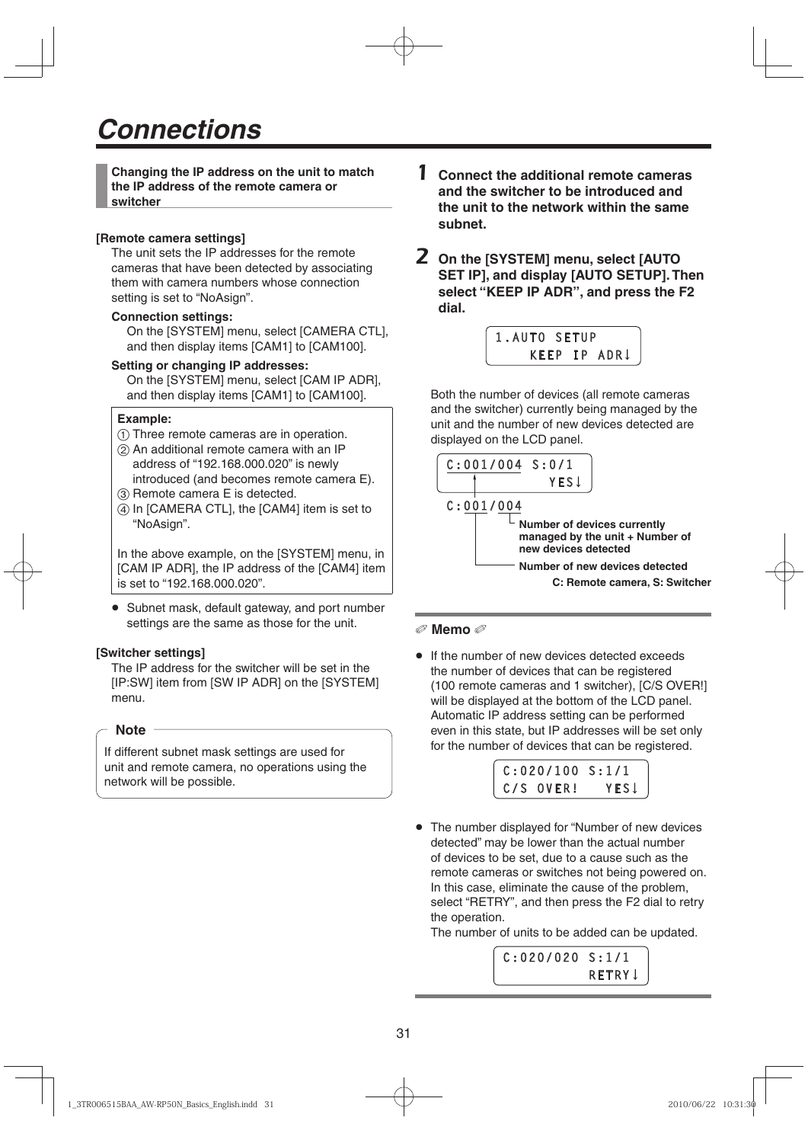**Changing the IP address on the unit to match the IP address of the remote camera or switcher**

#### **[Remote camera settings]**

The unit sets the IP addresses for the remote cameras that have been detected by associating them with camera numbers whose connection setting is set to "NoAsign".

#### **Connection settings:**

On the [SYSTEM] menu, select [CAMERA CTL]. and then display items [CAM1] to [CAM100].

#### **Setting or changing IP addresses:**

 On the [SYSTEM] menu, select [CAM IP ADR], and then display items [CAM1] to [CAM100].

#### **Example:**

- Three remote cameras are in operation.
- An additional remote camera with an IP address of "192.168.000.020" is newly introduced (and becomes remote camera E).
- (3) Remote camera E is detected.
- (4) In [CAMERA CTL], the [CAM4] item is set to "NoAsign".

In the above example, on the [SYSTEM] menu, in [CAM IP ADR], the IP address of the [CAM4] item is set to "192.168.000.020".

• Subnet mask, default gateway, and port number settings are the same as those for the unit.

#### **[Switcher settings]**

The IP address for the switcher will be set in the [IP:SW] item from [SW IP ADR] on the [SYSTEM] menu.

#### **Note**

If different subnet mask settings are used for unit and remote camera, no operations using the network will be possible.

- 1 **Connect the additional remote cameras and the switcher to be introduced and the unit to the network within the same subnet.**
- 2 **On the [SYSTEM] menu, select [AUTO SET IP], and display [AUTO SETUP]. Then select "KEEP IP ADR", and press the F2 dial.**

| 1.AUTO SETUP |  |              |
|--------------|--|--------------|
|              |  | KEEP IP ADRI |
|              |  |              |

Both the number of devices (all remote cameras and the switcher) currently being managed by the unit and the number of new devices detected are displayed on the LCD panel.



#### **Memo**

• If the number of new devices detected exceeds the number of devices that can be registered (100 remote cameras and 1 switcher), [C/S OVER!] will be displayed at the bottom of the LCD panel. Automatic IP address setting can be performed even in this state, but IP addresses will be set only for the number of devices that can be registered.



 The number displayed for "Number of new devices detected" may be lower than the actual number of devices to be set, due to a cause such as the remote cameras or switches not being powered on. In this case, eliminate the cause of the problem, select "RETRY", and then press the F2 dial to retry the operation.

The number of units to be added can be updated.

 $C: 020/020 S: 1/1$ **RETRY 1**  *RETRY <b>RETRY*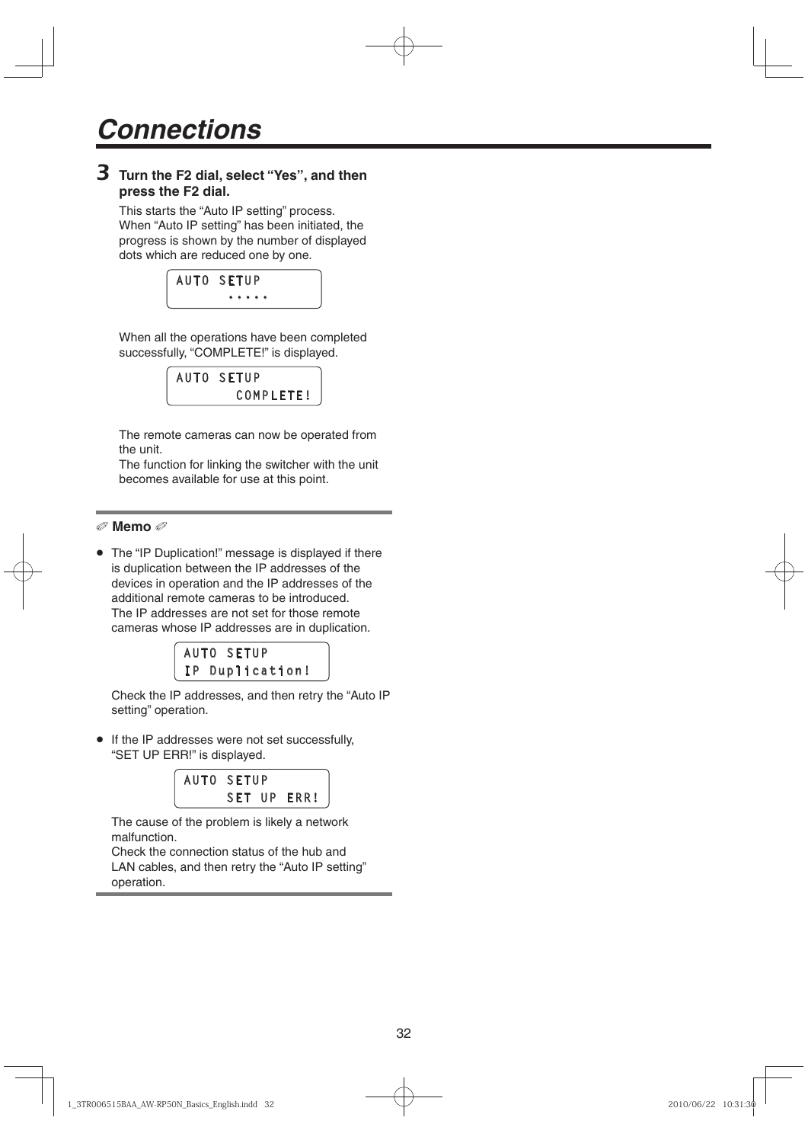# 3 **Turn the F2 dial, select "Yes", and then press the F2 dial.**

This starts the "Auto IP setting" process. When "Auto IP setting" has been initiated, the progress is shown by the number of displayed dots which are reduced one by one.



When all the operations have been completed successfully, "COMPLETE!" is displayed.



The remote cameras can now be operated from the unit.

The function for linking the switcher with the unit becomes available for use at this point.

```
 Memo
```
• The "IP Duplication!" message is displayed if there is duplication between the IP addresses of the devices in operation and the IP addresses of the additional remote cameras to be introduced. The IP addresses are not set for those remote cameras whose IP addresses are in duplication.

| AUTO SETUP      |
|-----------------|
| IP Duplication! |
|                 |

Check the IP addresses, and then retry the "Auto IP setting" operation.

 If the IP addresses were not set successfully, "SET UP ERR!" is displayed.

| <b>AUTO SETUP</b> |  |             |
|-------------------|--|-------------|
|                   |  | SET UP ERR! |
|                   |  |             |

The cause of the problem is likely a network malfunction.

Check the connection status of the hub and LAN cables, and then retry the "Auto IP setting" operation.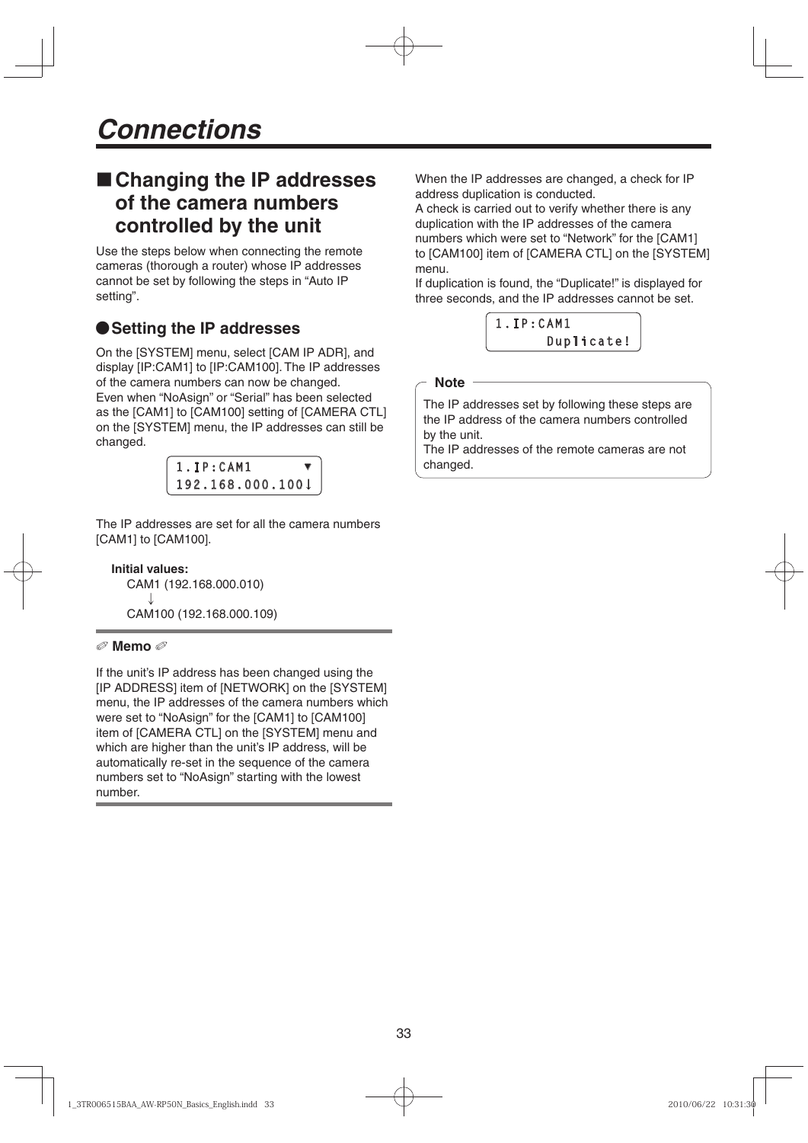# **Changing the IP addresses of the camera numbers controlled by the unit**

Use the steps below when connecting the remote cameras (thorough a router) whose IP addresses cannot be set by following the steps in "Auto IP setting".

# **Setting the IP addresses**

On the [SYSTEM] menu, select [CAM IP ADR], and display [IP:CAM1] to [IP:CAM100]. The IP addresses of the camera numbers can now be changed. Even when "NoAsign" or "Serial" has been selected as the [CAM1] to [CAM100] setting of [CAMERA CTL] on the [SYSTEM] menu, the IP addresses can still be changed.



The IP addresses are set for all the camera numbers [CAM1] to [CAM100].

**Initial values:** CAM1 (192.168.000.010)  $\downarrow$ CAM100 (192.168.000.109)

## **Memo**

If the unit's IP address has been changed using the [IP ADDRESS] item of [NETWORK] on the [SYSTEM] menu, the IP addresses of the camera numbers which were set to "NoAsign" for the [CAM1] to [CAM100] item of [CAMERA CTL] on the [SYSTEM] menu and which are higher than the unit's IP address, will be automatically re-set in the sequence of the camera numbers set to "NoAsign" starting with the lowest number.

When the IP addresses are changed, a check for IP address duplication is conducted.

A check is carried out to verify whether there is any duplication with the IP addresses of the camera numbers which were set to "Network" for the [CAM1] to [CAM100] item of [CAMERA CTL] on the [SYSTEM] menu.

If duplication is found, the "Duplicate!" is displayed for three seconds, and the IP addresses cannot be set.



### **Note**

The IP addresses set by following these steps are the IP address of the camera numbers controlled by the unit.

The IP addresses of the remote cameras are not changed.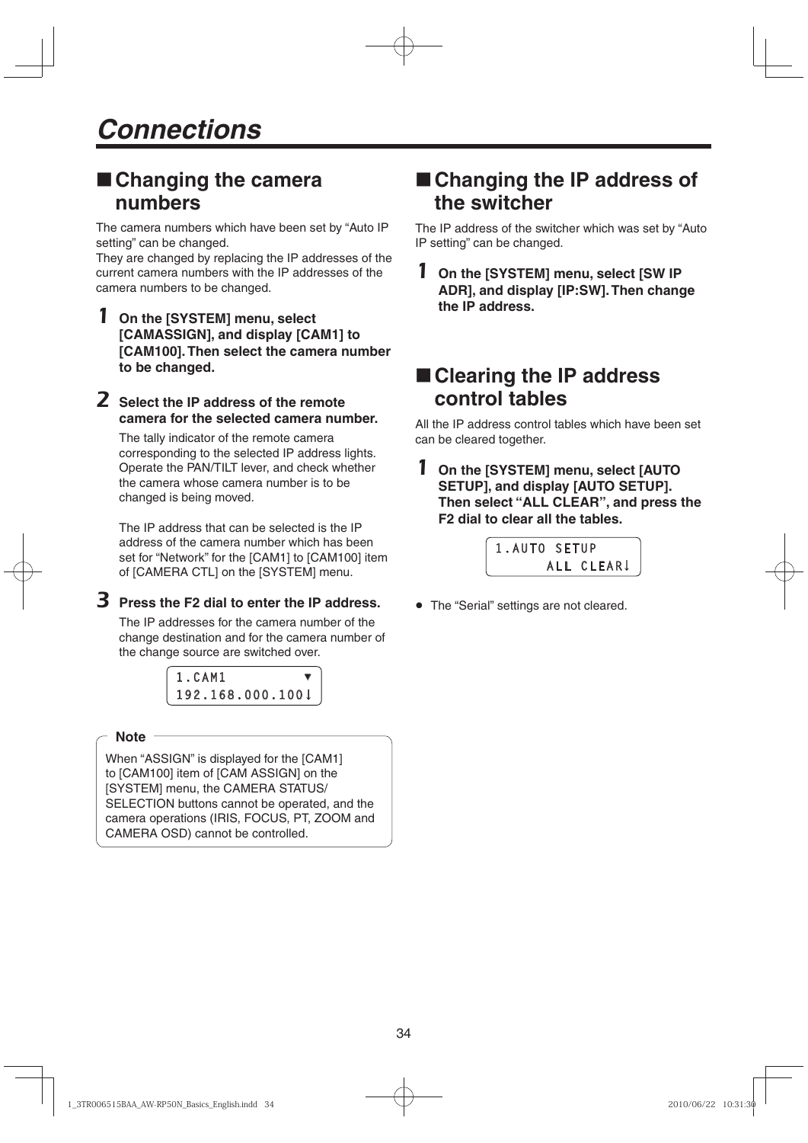# **Changing the camera numbers**

The camera numbers which have been set by "Auto IP setting" can be changed.

They are changed by replacing the IP addresses of the current camera numbers with the IP addresses of the camera numbers to be changed.

- 1 **On the [SYSTEM] menu, select [CAMASSIGN], and display [CAM1] to [CAM100]. Then select the camera number to be changed.**
- 2 **Select the IP address of the remote camera for the selected camera number.**

The tally indicator of the remote camera corresponding to the selected IP address lights. Operate the PAN/TILT lever, and check whether the camera whose camera number is to be changed is being moved.

The IP address that can be selected is the IP address of the camera number which has been set for "Network" for the [CAM1] to [CAM100] item of [CAMERA CTL] on the [SYSTEM] menu.

3 **Press the F2 dial to enter the IP address.**

The IP addresses for the camera number of the change destination and for the camera number of the change source are switched over.



## **Note**

When "ASSIGN" is displayed for the [CAM1] to [CAM100] item of [CAM ASSIGN] on the [SYSTEM] menu, the CAMERA STATUS/ SELECTION buttons cannot be operated, and the camera operations (IRIS, FOCUS, PT, ZOOM and CAMERA OSD) cannot be controlled.

# ■ Changing the IP address of **the switcher**

The IP address of the switcher which was set by "Auto IP setting" can be changed.

1 **On the [SYSTEM] menu, select [SW IP ADR], and display [IP:SW]. Then change the IP address.**

# **Clearing the IP address control tables**

All the IP address control tables which have been set can be cleared together.

1 **On the [SYSTEM] menu, select [AUTO SETUP], and display [AUTO SETUP]. Then select "ALL CLEAR", and press the F2 dial to clear all the tables.**



The "Serial" settings are not cleared.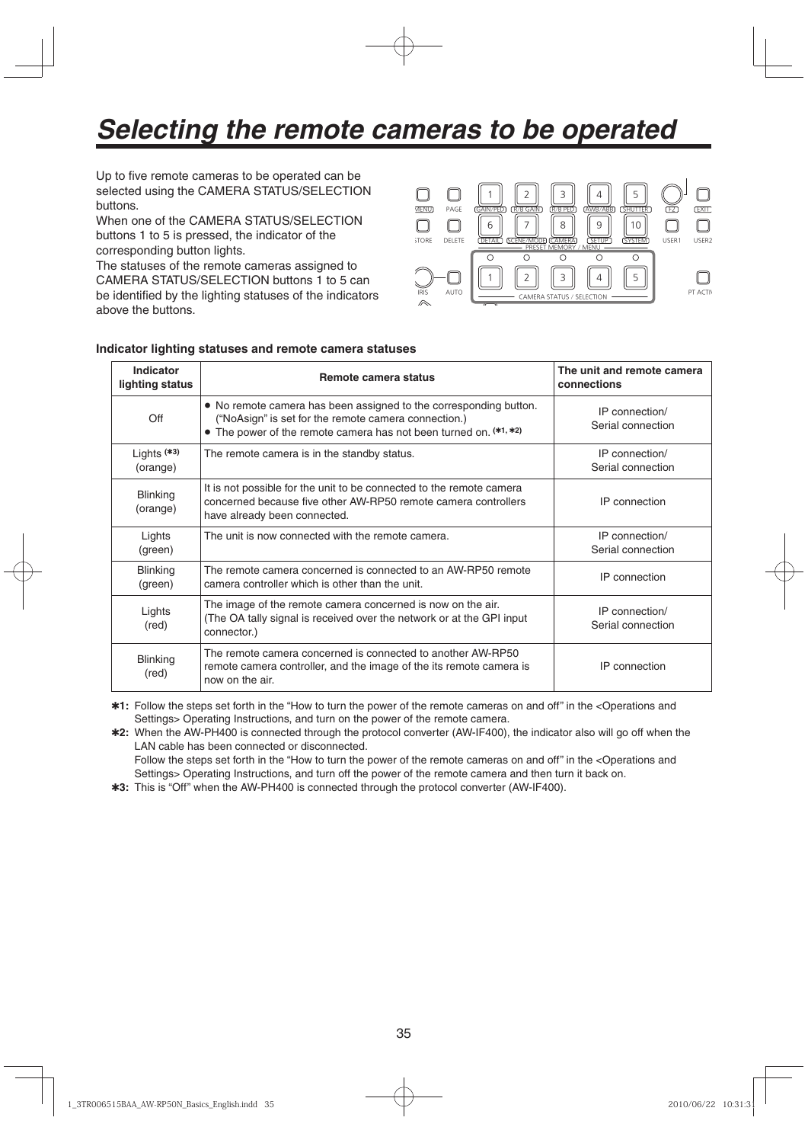# *Selecting the remote cameras to be operated*

Up to five remote cameras to be operated can be selected using the CAMERA STATUS/SELECTION buttons.

When one of the CAMERA STATUS/SELECTION buttons 1 to 5 is pressed, the indicator of the corresponding button lights.

The statuses of the remote cameras assigned to CAMERA STATUS/SELECTION buttons 1 to 5 can be identified by the lighting statuses of the indicators above the buttons.



#### **Indicator lighting statuses and remote camera statuses**

| Indicator<br>lighting status | Remote camera status                                                                                                                                                                           | The unit and remote camera<br>connections |
|------------------------------|------------------------------------------------------------------------------------------------------------------------------------------------------------------------------------------------|-------------------------------------------|
| Off                          | • No remote camera has been assigned to the corresponding button.<br>("NoAsign" is set for the remote camera connection.)<br>• The power of the remote camera has not been turned on. (*1, *2) | IP connection/<br>Serial connection       |
| Lights $(*3)$<br>(orange)    | The remote camera is in the standby status.                                                                                                                                                    | IP connection/<br>Serial connection       |
| <b>Blinking</b><br>(orange)  | It is not possible for the unit to be connected to the remote camera<br>concerned because five other AW-RP50 remote camera controllers<br>have already been connected.                         | IP connection                             |
| Lights<br>(green)            | The unit is now connected with the remote camera.                                                                                                                                              | IP connection/<br>Serial connection       |
| <b>Blinking</b><br>(green)   | The remote camera concerned is connected to an AW-RP50 remote<br>camera controller which is other than the unit.                                                                               | IP connection                             |
| Lights<br>(red)              | The image of the remote camera concerned is now on the air.<br>(The OA tally signal is received over the network or at the GPI input<br>connector.)                                            | IP connection/<br>Serial connection       |
| <b>Blinking</b><br>(red)     | The remote camera concerned is connected to another AW-RP50<br>remote camera controller, and the image of the its remote camera is<br>now on the air.                                          | IP connection                             |

**1:** Follow the steps set forth in the "How to turn the power of the remote cameras on and off" in the <Operations and Settings> Operating Instructions, and turn on the power of the remote camera.

**2:** When the AW-PH400 is connected through the protocol converter (AW-IF400), the indicator also will go off when the LAN cable has been connected or disconnected. Follow the steps set forth in the "How to turn the power of the remote cameras on and off" in the <Operations and

Settings> Operating Instructions, and turn off the power of the remote camera and then turn it back on.

**3:** This is "Off" when the AW-PH400 is connected through the protocol converter (AW-IF400).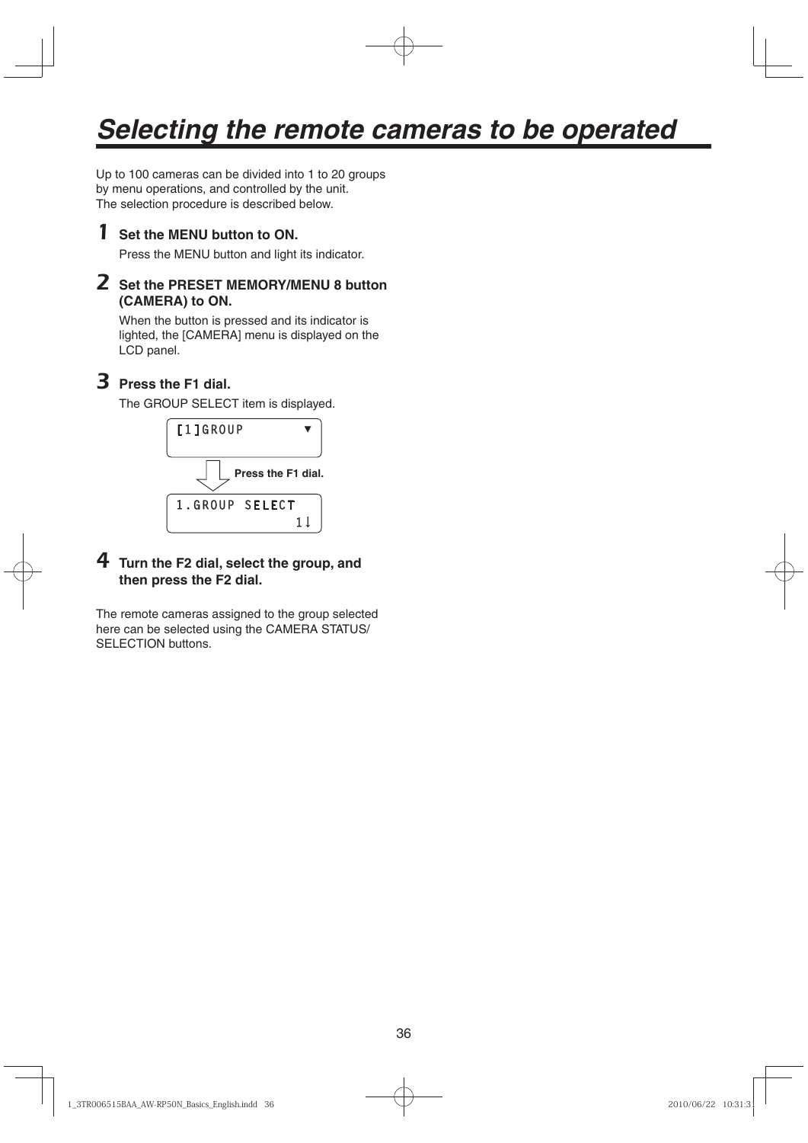# *Selecting the remote cameras to be operated*

Up to 100 cameras can be divided into 1 to 20 groups by menu operations, and controlled by the unit. The selection procedure is described below.

# 1 **Set the MENU button to ON.**

Press the MENU button and light its indicator.

# 2 **Set the PRESET MEMORY/MENU 8 button (CAMERA) to ON.**

When the button is pressed and its indicator is lighted, the [CAMERA] menu is displayed on the LCD panel.

# 3 **Press the F1 dial.**

The GROUP SELECT item is displayed.



# 4 **Turn the F2 dial, select the group, and then press the F2 dial.**

The remote cameras assigned to the group selected here can be selected using the CAMERA STATUS/ SELECTION buttons.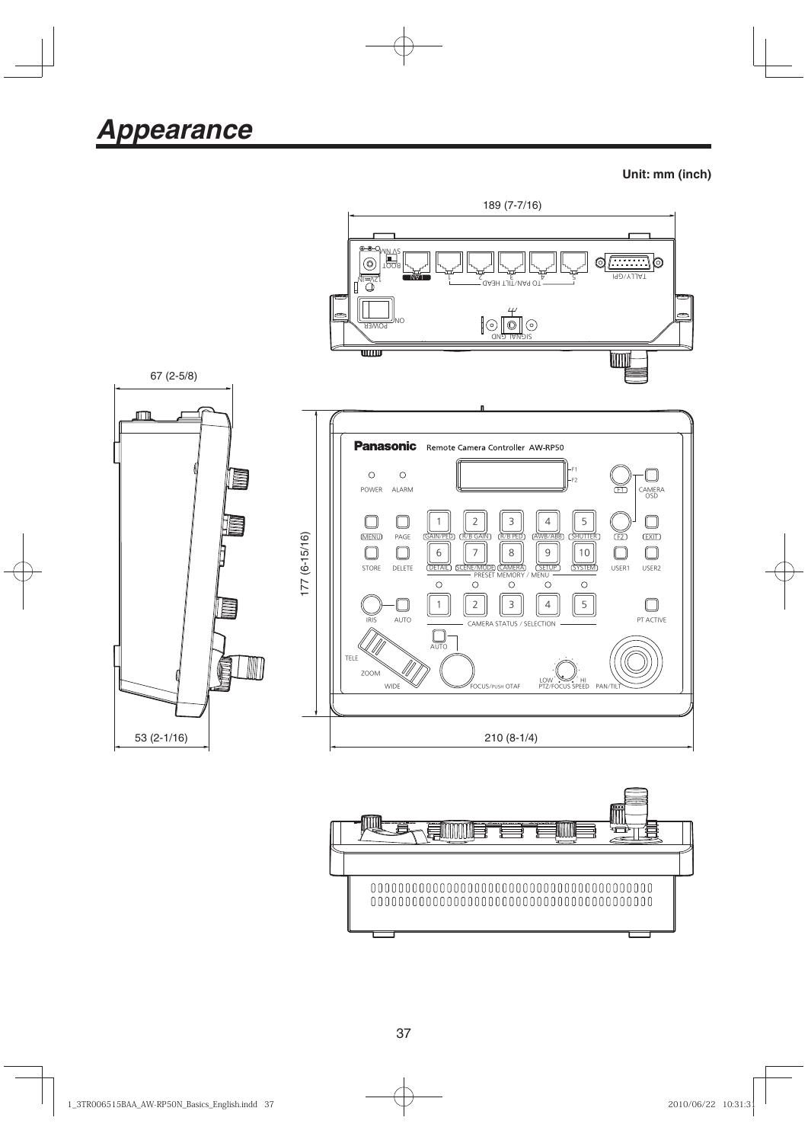**Unit: mm (inch)**





37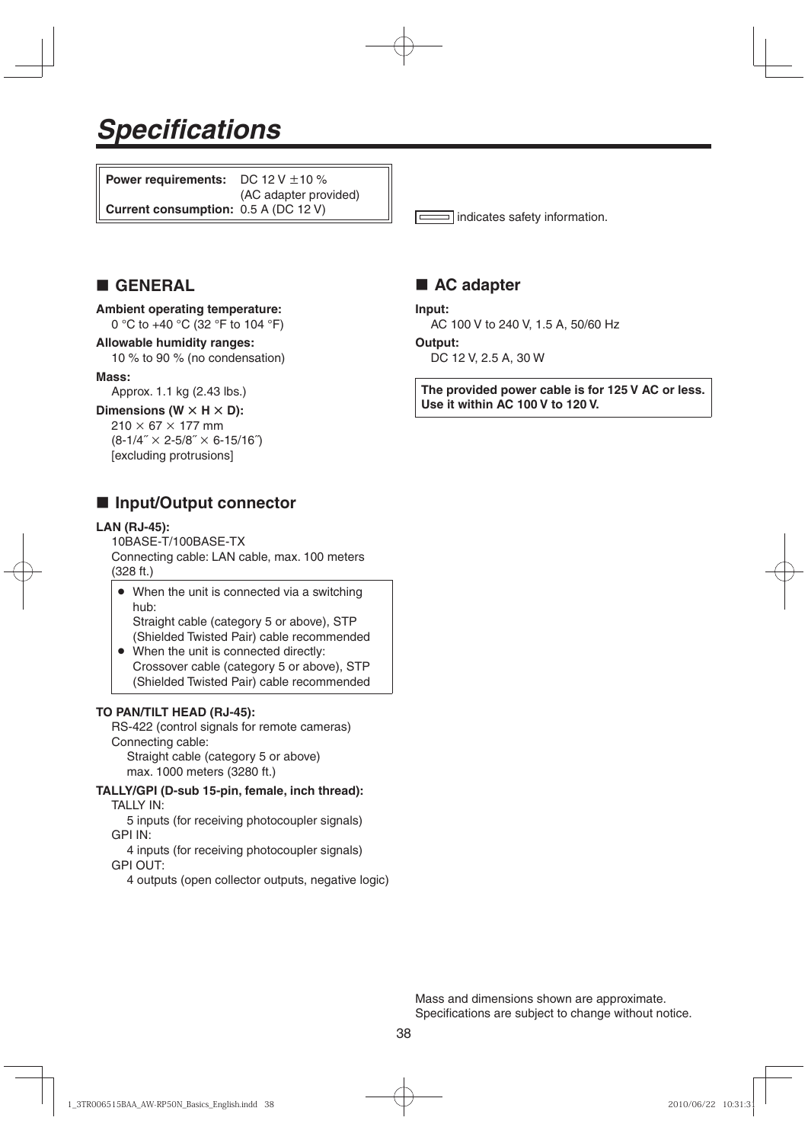# *Specifications*

**Power requirements:** DC  $12 \text{ V } \pm 10 \%$ (AC adapter provided) **Current consumption:** 0.5 A (DC 12 V)

indicates safety information.

# **GENERAL**

#### **Ambient operating temperature:** 0 °C to +40 °C (32 °F to 104 °F)

#### **Allowable humidity ranges:** 10 % to 90 % (no condensation)

# **Mass:**

Approx. 1.1 kg (2.43 lbs.)

#### **Dimensions (W**  $\times$  **H**  $\times$  **D):**

 $210 \times 67 \times 177$  mm  $(8-1/4" \times 2-5/8" \times 6-15/16")$ [excluding protrusions]

# **Input/Output connector**

#### **LAN (RJ-45):**

10BASE-T/100BASE-TX Connecting cable: LAN cable, max. 100 meters (328 ft.)

- When the unit is connected via a switching hub: Straight cable (category 5 or above), STP
- (Shielded Twisted Pair) cable recommended When the unit is connected directly: Crossover cable (category 5 or above), STP
	- (Shielded Twisted Pair) cable recommended

#### **TO PAN/TILT HEAD (RJ-45):**

RS-422 (control signals for remote cameras) Connecting cable: Straight cable (category 5 or above) max. 1000 meters (3280 ft.)

**TALLY/GPI (D-sub 15-pin, female, inch thread):**

TALLY IN:

 5 inputs (for receiving photocoupler signals) GPI IN:

 4 inputs (for receiving photocoupler signals) GPI OUT:

4 outputs (open collector outputs, negative logic)

# ■ AC adapter

**Input:**

AC 100 V to 240 V, 1.5 A, 50/60 Hz

#### **Output:**

DC 12 V, 2.5 A, 30 W

**The provided power cable is for 125 V AC or less. Use it within AC 100 V to 120 V.**

Mass and dimensions shown are approximate. Specifications are subject to change without notice.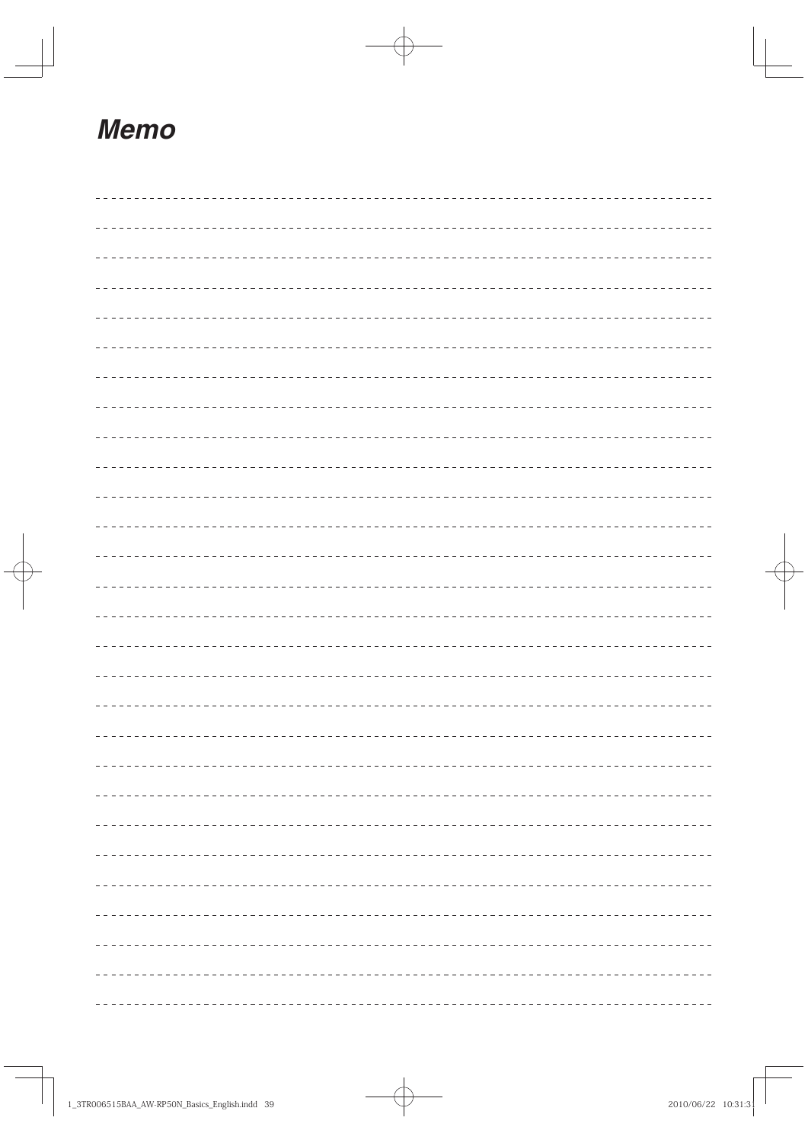# *Memo*